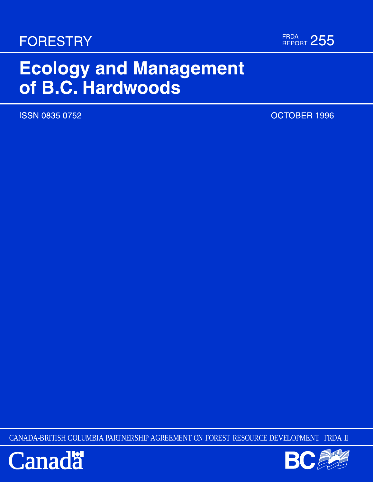# **FORESTRY**



# **Ecology and Management** of B.C. Hardwoods

**ISSN 0835 0752** 

OCTOBER 1996

CANADA-BRITISH COLUMBIA PARTNERSHIP AGREEMENT ON FOREST RESOURCE DEVELOPMENT: FRDA II



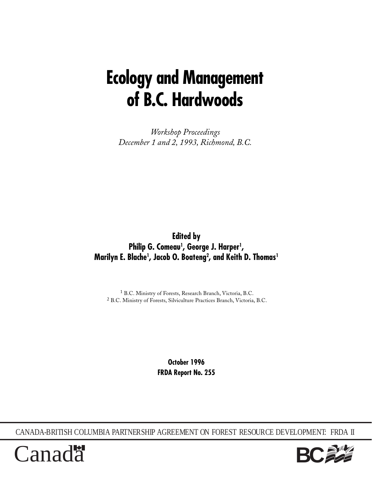# **Ecology and Management of B.C. Hardwoods**

*Workshop Proceedings December 1 and 2, 1993, Richmond, B.C.*

**Edited by Philip G. Comeau1 , George J. Harper1 , Marilyn E. Blache1 , Jacob O. Boateng2 , and Keith D. Thomas1**

1 B.C. Ministry of Forests, Research Branch, Victoria, B.C. 2 B.C. Ministry of Forests, Silviculture Practices Branch, Victoria, B.C.

> **October 1996 FRDA Report No. 255**

CANADA-BRITISH COLUMBIA PARTNERSHIP AGREEMENT ON FOREST RESOURCE DEVELOPMENT: FRDA II



Canad<sup>\*</sup>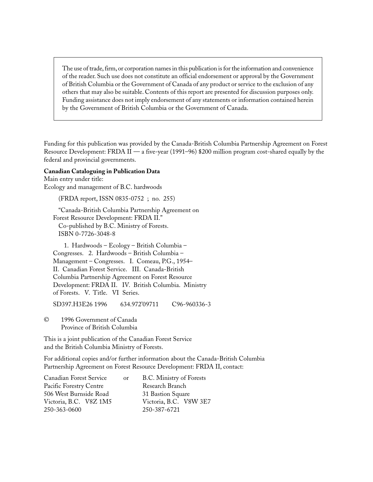The use of trade, firm, or corporation names in this publication is for the information and convenience of the reader. Such use does not constitute an official endorsement or approval by the Government of British Columbia or the Government of Canada of any product or service to the exclusion of any others that may also be suitable. Contents of this report are presented for discussion purposes only. Funding assistance does not imply endorsement of any statements or information contained herein by the Government of British Columbia or the Government of Canada.

Funding for this publication was provided by the Canada-British Columbia Partnership Agreement on Forest Resource Development: FRDA II — a five-year (1991–96) \$200 million program cost-shared equally by the federal and provincial governments.

#### **Canadian Cataloguing in Publication Data**

Main entry under title: Ecology and management of B.C. hardwoods

(FRDA report, ISSN 0835-0752 ; no. 255)

"Canada-British Columbia Partnership Agreement on Forest Resource Development: FRDA II." Co-published by B.C. Ministry of Forests. ISBN 0-7726-3048-8

1. Hardwoods – Ecology – British Columbia – Congresses. 2. Hardwoods – British Columbia – Management – Congresses. I. Comeau, P.G., 1954– II. Canadian Forest Service. III. Canada-British Columbia Partnership Agreement on Forest Resource Development: FRDA II. IV. British Columbia. Ministry of Forests. V. Title. VI Series.

SD397.H3E26 1996 634.972'09711 C96-960336-3

© 1996 Government of Canada Province of British Columbia

This is a joint publication of the Canadian Forest Service and the British Columbia Ministry of Forests.

For additional copies and/or further information about the Canada-British Columbia Partnership Agreement on Forest Resource Development: FRDA II, contact:

| <sub>or</sub> | B.C. Ministry of Forests |
|---------------|--------------------------|
|               | Research Branch          |
|               | 31 Bastion Square        |
|               | Victoria, B.C. V8W 3E7   |
|               | 250-387-6721             |
|               |                          |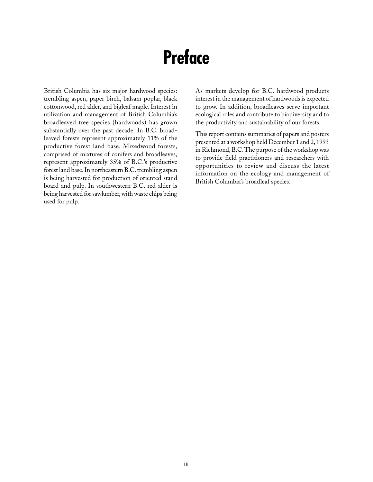# **Preface**

British Columbia has six major hardwood species: trembling aspen, paper birch, balsam poplar, black cottonwood, red alder, and bigleaf maple. Interest in utilization and management of British Columbia's broadleaved tree species (hardwoods) has grown substantially over the past decade. In B.C. broadleaved forests represent approximately 11% of the productive forest land base. Mixedwood forests, comprised of mixtures of conifers and broadleaves, represent approximately 35% of B.C.'s productive forest land base. In northeastern B.C. trembling aspen is being harvested for production of oriented stand board and pulp. In southwestern B.C. red alder is being harvested for sawlumber, with waste chips being used for pulp.

As markets develop for B.C. hardwood products interest in the management of hardwoods is expected to grow. In addition, broadleaves serve important ecological roles and contribute to biodiversity and to the productivity and sustainability of our forests.

This report contains summaries of papers and posters presented at a workshop held December 1 and 2, 1993 in Richmond, B.C. The purpose of the workshop was to provide field practitioners and researchers with opportunities to review and discuss the latest information on the ecology and management of British Columbia's broadleaf species.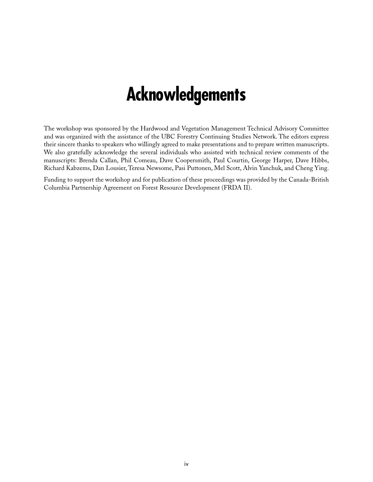# **Acknowledgements**

The workshop was sponsored by the Hardwood and Vegetation Management Technical Advisory Committee and was organized with the assistance of the UBC Forestry Continuing Studies Network. The editors express their sincere thanks to speakers who willingly agreed to make presentations and to prepare written manuscripts. We also gratefully acknowledge the several individuals who assisted with technical review comments of the manuscripts: Brenda Callan, Phil Comeau, Dave Coopersmith, Paul Courtin, George Harper, Dave Hibbs, Richard Kabzems, Dan Lousier, Teresa Newsome, Pasi Puttonen, Mel Scott, Alvin Yanchuk, and Cheng Ying.

Funding to support the workshop and for publication of these proceedings was provided by the Canada-British Columbia Partnership Agreement on Forest Resource Development (FRDA II).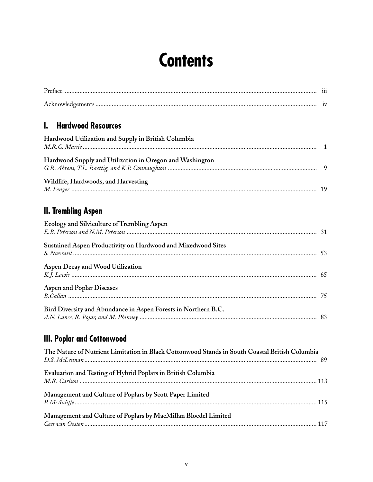# **Contents**

| <b>Hardwood Resources</b><br>$\mathbf{l}$ .                                                                     |    |
|-----------------------------------------------------------------------------------------------------------------|----|
| Hardwood Utilization and Supply in British Columbia                                                             |    |
| Hardwood Supply and Utilization in Oregon and Washington                                                        |    |
| Wildlife, Hardwoods, and Harvesting                                                                             |    |
| <b>II. Trembling Aspen</b>                                                                                      |    |
| Ecology and Silviculture of Trembling Aspen                                                                     |    |
| Sustained Aspen Productivity on Hardwood and Mixedwood Sites                                                    |    |
| Aspen Decay and Wood Utilization                                                                                |    |
| <b>Aspen and Poplar Diseases</b>                                                                                |    |
| Bird Diversity and Abundance in Aspen Forests in Northern B.C.                                                  |    |
| <b>III. Poplar and Cottonwood</b>                                                                               |    |
| The Nature of Nutrient Limitation in Black Cottonwood Stands in South Coastal British Columbia<br>D.S. McLennan | 89 |
| Evaluation and Testing of Hybrid Poplars in British Columbia                                                    |    |
| Management and Culture of Poplars by Scott Paper Limited                                                        |    |
| Management and Culture of Poplars by MacMillan Bloedel Limited                                                  |    |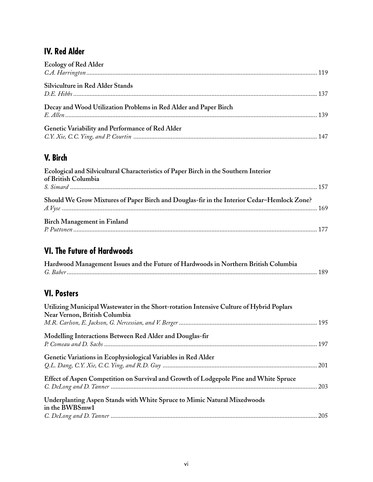# **IV. Red Alder**

| <b>Ecology of Red Alder</b>                                      |  |
|------------------------------------------------------------------|--|
|                                                                  |  |
| Silviculture in Red Alder Stands                                 |  |
|                                                                  |  |
|                                                                  |  |
| Decay and Wood Utilization Problems in Red Alder and Paper Birch |  |
|                                                                  |  |
| Genetic Variability and Performance of Red Alder                 |  |
|                                                                  |  |

# **V. Birch**

| Ecological and Silvicultural Characteristics of Paper Birch in the Southern Interior<br>of British Columbia |  |
|-------------------------------------------------------------------------------------------------------------|--|
| Should We Grow Mixtures of Paper Birch and Douglas-fir in the Interior Cedar–Hemlock Zone?                  |  |
| <b>Birch Management in Finland</b>                                                                          |  |

# **VI. The Future of Hardwoods**

| Hardwood Management Issues and the Future of Hardwoods in Northern British Columbia |  |
|-------------------------------------------------------------------------------------|--|
|                                                                                     |  |

# **VI. Posters**

| Utilizing Municipal Wastewater in the Short-rotation Intensive Culture of Hybrid Poplars<br>Near Vernon, British Columbia |  |
|---------------------------------------------------------------------------------------------------------------------------|--|
| Modelling Interactions Between Red Alder and Douglas-fir                                                                  |  |
| Genetic Variations in Ecophysiological Variables in Red Alder                                                             |  |
| Effect of Aspen Competition on Survival and Growth of Lodgepole Pine and White Spruce                                     |  |
| Underplanting Aspen Stands with White Spruce to Mimic Natural Mixedwoods<br>in the BWBSmw1                                |  |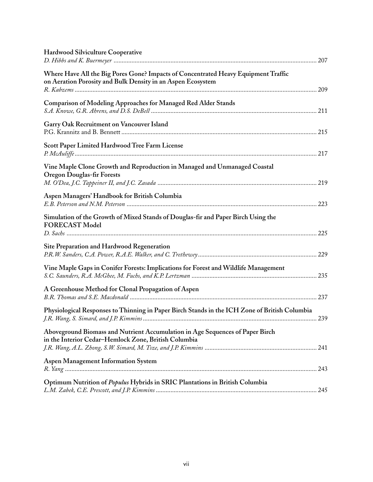| <b>Hardwood Silviculture Cooperative</b>                                                                                                          |  |
|---------------------------------------------------------------------------------------------------------------------------------------------------|--|
| Where Have All the Big Pores Gone? Impacts of Concentrated Heavy Equipment Traffic<br>on Aeration Porosity and Bulk Density in an Aspen Ecosystem |  |
| Comparison of Modeling Approaches for Managed Red Alder Stands                                                                                    |  |
| Garry Oak Recruitment on Vancouver Island                                                                                                         |  |
| Scott Paper Limited Hardwood Tree Farm License                                                                                                    |  |
| Vine Maple Clone Growth and Reproduction in Managed and Unmanaged Coastal<br><b>Oregon Douglas-fir Forests</b>                                    |  |
| Aspen Managers' Handbook for British Columbia                                                                                                     |  |
| Simulation of the Growth of Mixed Stands of Douglas-fir and Paper Birch Using the<br><b>FORECAST Model</b>                                        |  |
| Site Preparation and Hardwood Regeneration                                                                                                        |  |
| Vine Maple Gaps in Conifer Forests: Implications for Forest and Wildlife Management                                                               |  |
| A Greenhouse Method for Clonal Propagation of Aspen                                                                                               |  |
| Physiological Responses to Thinning in Paper Birch Stands in the ICH Zone of British Columbia                                                     |  |
| Aboveground Biomass and Nutrient Accumulation in Age Sequences of Paper Birch<br>in the Interior Cedar-Hemlock Zone, British Columbia             |  |
| <b>Aspen Management Information System</b>                                                                                                        |  |
| Optimum Nutrition of Populus Hybrids in SRIC Plantations in British Columbia                                                                      |  |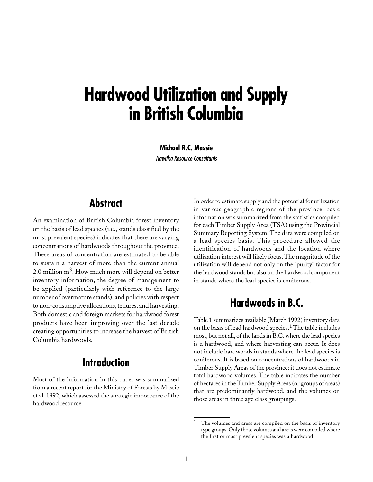# **Hardwood Utilization and Supply in British Columbia**

**Michael R.C. Massie** Nawitka Resource Consultants

# **Abstract**

An examination of British Columbia forest inventory on the basis of lead species (i.e., stands classified by the most prevalent species) indicates that there are varying concentrations of hardwoods throughout the province. These areas of concentration are estimated to be able to sustain a harvest of more than the current annual 2.0 million  $m<sup>3</sup>$ . How much more will depend on better inventory information, the degree of management to be applied (particularly with reference to the large number of overmature stands), and policies with respect to non-consumptive allocations, tenures, and harvesting. Both domestic and foreign markets for hardwood forest products have been improving over the last decade creating opportunities to increase the harvest of British Columbia hardwoods.

# **Introduction**

Most of the information in this paper was summarized from a recent report for the Ministry of Forests by Massie et al. 1992, which assessed the strategic importance of the hardwood resource.

In order to estimate supply and the potential for utilization in various geographic regions of the province, basic information was summarized from the statistics compiled for each Timber Supply Area (TSA) using the Provincial Summary Reporting System. The data were compiled on a lead species basis. This procedure allowed the identification of hardwoods and the location where utilization interest will likely focus. The magnitude of the utilization will depend not only on the "purity" factor for the hardwood stands but also on the hardwood component in stands where the lead species is coniferous.

# **Hardwoods in B.C.**

Table 1 summarizes available (March 1992) inventory data on the basis of lead hardwood species.<sup>1</sup> The table includes most, but not all, of the lands in B.C. where the lead species is a hardwood, and where harvesting can occur. It does not include hardwoods in stands where the lead species is coniferous. It is based on concentrations of hardwoods in Timber Supply Areas of the province; it does not estimate total hardwood volumes. The table indicates the number of hectares in the Timber Supply Areas (or groups of areas) that are predominantly hardwood, and the volumes on those areas in three age class groupings.

The volumes and areas are compiled on the basis of inventory type groups. Only those volumes and areas were compiled where the first or most prevalent species was a hardwood.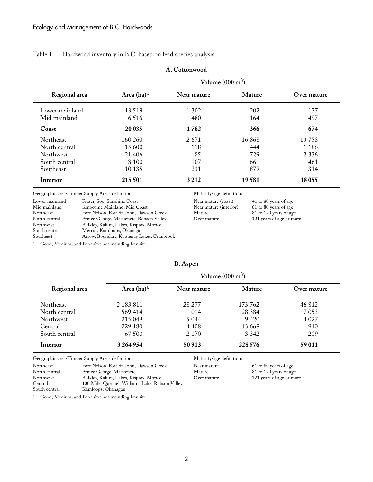|                  |                            | A. Cottonwood |        |             |
|------------------|----------------------------|---------------|--------|-------------|
|                  | Volume $(000 \text{ m}^3)$ |               |        |             |
| Regional area    | Area $(ha)^a$              | Near mature   | Mature | Over mature |
| Lower mainland   | 13 5 19                    | 1 3 0 2       | 202    | 177         |
| Mid mainland     | 6 5 1 6                    | 480           | 164    | 497         |
| Coast            | 20 035                     | 1782          | 366    | 674         |
| Northeast        | 160 260                    | 2671          | 16868  | 13 758      |
| North central    | 15 600                     | 118           | 444    | 1 1 8 6     |
| <b>Northwest</b> | 21 40 6                    | 85            | 729    | 2 3 3 6     |
| South central    | 8 1 0 0                    | 107           | 661    | 461         |
| Southeast        | 10 135                     | 231           | 879    | 314         |
| Interior         | 215 501                    | 3 2 1 2       | 19581  | 18 0 55     |

#### Table 1. Hardwood inventory in B.C. based on lead species analysis

Geographic area/Timber Supply Areas definition: Maturity/age definition:

| Lower mainland | Fraser, Soo, Sunshine Coast                |
|----------------|--------------------------------------------|
| Mid mainland   | Kingcome Mainland, Mid Coast               |
| Northeast      | Fort Nelson, Fort St. John, Dawson Creek   |
| North central  | Prince George, Mackenzie, Robson Valley    |
| Northwest      | Bulkley, Kalum, Lakes, Kispiox, Morice     |
| South central  | Merritt, Kamloops, Okanagan                |
| Southeast      | Arrow, Boundary, Kootenay Lakes, Cranbrook |
|                |                                            |

Near mature (coast) 41 to 80 years of age<br>Near mature (interior) 61 to 80 years of age Near mature (interior)<br>Mature Mature 81 to 120 years of age<br>Over mature 121 years of age or mo

121 years of age or more

<sup>a</sup> Good, Medium, and Poor site; not including low site.

| Regional area    | Area (ha) <sup>a</sup> | Near mature | Mature   | Over mature |
|------------------|------------------------|-------------|----------|-------------|
| <b>Northeast</b> | 2 183 811              | 28 277      | 173 762  | 46 812      |
| North central    | 569 414                | 11 014      | 28 3 8 4 | 7 0 5 3     |
| <b>Northwest</b> | 215 049                | 5 0 4 4     | 9 4 2 0  | 4 0 27      |
| Central          | 229 180                | 4 4 0 8     | 13 6 68  | 910         |
| South central    | 67 500                 | 2 1 7 0     | 3 3 4 2  | 209         |
| Interior         | 3 264 954              | 50 913      | 228 576  | 59 011      |

Geographic area/Timber Supply Areas definition: Maturity/age definition:

Northeast Fort Nelson, Fort St. John, Dawson Creek Near mature 61 to 80 years of age<br>North central Prince George, Mackenzie Mature Mature 81 to 120 years of age North central Prince George, Mackenzie Mature Mature 81 to 120 years of age<br>Northwest Bulkley, Kalum, Lakes, Kispiox, Morice Over mature 121 years of age or more Bulkley, Kalum, Lakes, Kispiox, Morice Central 100 Mile, Quesnel, Williams Lake, Robson Valley Kamloops, Okanagan

<sup>a</sup> Good, Medium, and Poor site; not including low site.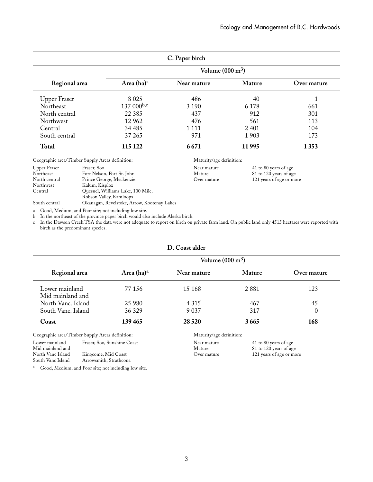| C. Paper birch              |                                                 |                            |                          |                          |             |  |
|-----------------------------|-------------------------------------------------|----------------------------|--------------------------|--------------------------|-------------|--|
|                             |                                                 | Volume $(000 \text{ m}^3)$ |                          |                          |             |  |
| Regional area               |                                                 | Area (ha) <sup>a</sup>     | Near mature              | Mature                   | Over mature |  |
| <b>Upper Fraser</b>         |                                                 | 8 0 25                     | 486                      | 40                       |             |  |
| Northeast                   |                                                 | 137 000b,c                 | 3 1 9 0                  | 6 1 7 8                  | 661         |  |
| North central               |                                                 | 22 3 8 5                   | 437                      | 912                      | 301         |  |
| Northwest                   |                                                 | 12 962                     | 476                      | 561                      | 113         |  |
| Central                     |                                                 | 34 4 85                    | 1 1 1 1                  | 2 4 0 1                  | 104         |  |
| South central               |                                                 | 37 265                     | 971                      | 1 903                    | 173         |  |
| <b>Total</b>                |                                                 | 115 122                    | 6671                     | 11995                    | 1353        |  |
|                             | Geographic area/Timber Supply Areas definition: |                            | Maturity/age definition: |                          |             |  |
| Upper Fraser<br>Fraser, Soo |                                                 | Near mature                | 41 to 80 years of age    |                          |             |  |
| Northeast                   | Fort Nelson, Fort St. John                      |                            | Mature                   | 81 to 120 years of age   |             |  |
| North central               | Prince George, Mackenzie                        |                            | Over mature              | 121 years of age or more |             |  |
| Northwest                   | Kalum, Kispiox                                  |                            |                          |                          |             |  |

Central Quesnel, Williams Lake, 100 Mile, Robson Valley, Kamloops

South central Okanagan, Revelstoke, Arrow, Kootenay Lakes

a Good, Medium, and Poor site; not including low site.

b In the northeast of the province paper birch would also include Alaska birch.

c In the Dawson Creek TSA the data were not adequate to report on birch on private farm land. On public land only 4515 hectares were reported with birch as the predominant species.

| D. Coast alder                     |                            |             |               |             |  |
|------------------------------------|----------------------------|-------------|---------------|-------------|--|
|                                    | Volume $(000 \text{ m}^3)$ |             |               |             |  |
| Regional area                      | Area $(ha)^a$              | Near mature | <b>Mature</b> | Over mature |  |
| Lower mainland<br>Mid mainland and | 77 156                     | 15 168      | 2881          | 123         |  |
| North Vanc. Island                 | 25 980                     | 4 3 1 5     | 467           | 45          |  |
| South Vanc. Island                 | 36 329                     | 9 0 3 7     | 317           | 0           |  |
| Coast                              | 139 465                    | 28 5 20     | 3665          | 168         |  |

Geographic area/Timber Supply Areas definition: Maturity/age definition:

| Lower mainland    | Fraser, Soo, Sunshine Coast |
|-------------------|-----------------------------|
| Mid mainland and  |                             |
| North Vanc Island | Kingcome, Mid Coast         |
| South Vanc Island | Arrowsmith, Strathcona      |

Near mature 41 to 80 years of age<br>Mature 41 to 120 years of age<br>Mature 61 20 years of age Mature 81 to 120 years of age<br>Over mature 121 years of age or mo

121 years of age or more

<sup>a</sup> Good, Medium, and Poor site; not including low site.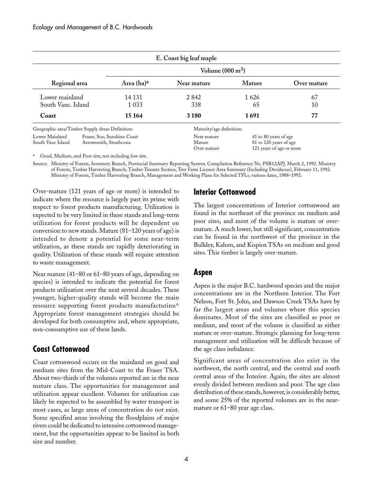|                                                                                              |  |                                      | E. Coast big leaf maple                                                     |            |             |
|----------------------------------------------------------------------------------------------|--|--------------------------------------|-----------------------------------------------------------------------------|------------|-------------|
|                                                                                              |  |                                      | Volume $(000 \text{ m}^3)$                                                  |            |             |
| Regional area                                                                                |  | Area $(ha)^a$                        | Near mature                                                                 | Mature     | Over mature |
| Lower mainland<br>South Vanc. Island                                                         |  | 14 131<br>1 0 3 3                    | 2 8 4 2<br>338                                                              | 1626<br>65 | 67<br>10    |
| Coast                                                                                        |  | 15 164                               | 3 1 8 0                                                                     | 1691       | 77          |
| Geographic area/Timber Supply dreas Definition:                                              |  |                                      | Maturity/age definition:                                                    |            |             |
| Lower Mainland<br>Fraser, Soo, Sunshine Coast<br>South Vanc Island<br>Arrowsmith, Strathcona |  | Near mature<br>Mature<br>Over mature | 41 to 80 years of age<br>81 to 120 years of age<br>121 years of age or more |            |             |

<sup>a</sup> Good, Medium, and Poor site; not including low site.

Source: Ministry of Forests, Inventory Branch, Provincial Summary Reporting System, Compilation Reference No. PSR12APJ, March 2, 1992. Ministry of Forests, Timber Harvesting Branch, Timber Tenures Section, Tree Farm Licence Area Summary (Including Deciduous), February 11, 1992. Ministry of Forests, Timber Harvesting Branch, Management and Working Plans for Selected TFLs, various dates, 1988–1992.

Over-mature (121 years of age or more) is intended to indicate where the resource is largely past its prime with respect to forest products manufacturing. Utilization is expected to be very limited in these stands and long-term utilization for forest products will be dependent on conversion to new stands. Mature (81–120 years of age) is intended to denote a potential for some near-term utilization, as these stands are rapidly deteriorating in quality. Utilization of these stands will require attention to waste management.

Near mature (41–80 or 61–80 years of age, depending on species) is intended to indicate the potential for forest products utilization over the next several decades. These younger, higher-quality stands will become the main resource supporting forest products manufacturinn^ Appropriate forest management strategies should be developed for both consumptive and, where appropriate, non-consumptive use of these lands.

### **Coast Cottonwood**

Coast cottonwood occurs on the mainland on good and medium sites from the Mid-Coast to the Fraser TSA. About two-thirds of the volumes reported are in the near mature class. The opportunities for management and utilization appear excellent. Volumes for utilization can likely be expected to be assembled by water transport in most cases, as large areas of concentration do not exist. Some specified areas involving the floodplains of major rivers could be dedicated to intensive cottonwood management, but the opportunities appear to be limited in both size and number.

### **Interior Cottonwood**

The largest concentrations of Interior cottonwood are found in the northeast of the province on medium and poor sites, and most of the volume is mature or overmature. A much lower, but still significant, concentration can be found in the northwest of the province in the Bulkley, Kalum, and Kispiox TSAs on medium and good sites. This timber is largely over-mature.

### **Aspen**

Aspen is the major B.C. hardwood species and the major concentrations are in the Northern Interior. The Fort Nelson, Fort St. John, and Dawson Creek TSAs have by far the largest areas and volumes where this species dominates. Most of the sites are classified as poor or medium, and most of the volume is classified as either mature or over-mature. Strategic planning for long-term management and utilization will be difficult because of the age class imbalance.

Significant areas of concentration also exist in the northwest, the north central, and the central and south central areas of the Interior. Again, the sites are almost evenly divided between medium and poor. The age class distribution of these stands, however, is considerably better, and some 25% of the reported volumes are in the nearmature or 61–80 year age class.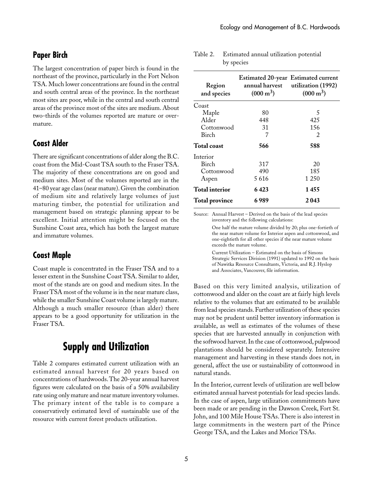#### **Paper Birch**

The largest concentration of paper birch is found in the northeast of the province, particularly in the Fort Nelson TSA. Much lower concentrations are found in the central and south central areas of the province. In the northeast most sites are poor, while in the central and south central areas of the province most of the sites are medium. About two-thirds of the volumes reported are mature or overmature.

#### **Coast Alder**

There are significant concentrations of alder along the B.C. coast from the Mid-Coast TSA south to the Fraser TSA. The majority of these concentrations are on good and medium sites. Most of the volumes reported are in the 41–80 year age class (near mature). Given the combination of medium site and relatively large volumes of just maturing timber, the potential for utilization and management based on strategic planning appear to be excellent. Initial attention might be focused on the Sunshine Coast area, which has both the largest mature and immature volumes.

#### **Coast Maple**

Coast maple is concentrated in the Fraser TSA and to a lesser extent in the Sunshine Coast TSA. Similar to alder, most of the stands are on good and medium sites. In the Fraser TSA most of the volume is in the near mature class, while the smaller Sunshine Coast volume is largely mature. Although a much smaller resource (than alder) there appears to be a good opportunity for utilization in the Fraser TSA.

# **Supply and Utilization**

Table 2 compares estimated current utilization with an estimated annual harvest for 20 years based on concentrations of hardwoods. The 20-year annual harvest figures were calculated on the basis of a 50% availability rate using only mature and near mature inventory volumes. The primary intent of the table is to compare a conservatively estimated level of sustainable use of the resource with current forest products utilization.

| Region<br>and species | Estimated 20-year Estimated current<br>$(000 \text{ m}^3)$ | annual harvest utilization (1992)<br>$(000 \text{ m}^3)$ |
|-----------------------|------------------------------------------------------------|----------------------------------------------------------|
| Coast                 |                                                            |                                                          |
| Maple                 | 80                                                         | 5                                                        |
| Alder                 | 448                                                        | 425                                                      |
| Cottonwood            | 31                                                         | 156                                                      |
| Birch                 | 7                                                          | 2                                                        |
| <b>Total coast</b>    | 566                                                        | 588                                                      |
| Interior              |                                                            |                                                          |
| Birch                 | 317                                                        | 20                                                       |
| Cottonwood            | 490                                                        | 185                                                      |
| Aspen                 | 5616                                                       | 1 250                                                    |
| <b>Total interior</b> | 6 423                                                      | 1455                                                     |
| <b>Total province</b> | 6 989                                                      | 2043                                                     |

Table 2. Estimated annual utilization potential by species

Source: Annual Harvest – Derived on the basis of the lead species inventory and the following calculations:

> One half the mature volume divided by 20; plus one-fortieth of the near mature volume for Interior aspen and cottonwood, and one-eightieth for all other species if the near mature volume exceeds the mature volume.

> Current Utilization – Estimated on the basis of Simons Strategic Services Division (1991) updated to 1992 on the basis of Nawitka Resource Consultants, Victoria, and R.J. Hyslop and Associates, Vancouver, file information.

Based on this very limited analysis, utilization of cottonwood and alder on the coast are at fairly high levels relative to the volumes that are estimated to be available from lead species stands. Further utilization of these species may not be prudent until better inventory information is available, as well as estimates of the volumes of these species that are harvested annually in conjunction with the softwood harvest. In the case of cottonwood, pulpwood plantations should be considered separately. Intensive management and harvesting in these stands does not, in general, affect the use or sustainability of cottonwood in natural stands.

In the Interior, current levels of utilization are well below estimated annual harvest potentials for lead species lands. In the case of aspen, large utilization commitments have been made or are pending in the Dawson Creek, Fort St. John, and 100 Mile House TSAs. There is also interest in large commitments in the western part of the Prince George TSA, and the Lakes and Morice TSAs.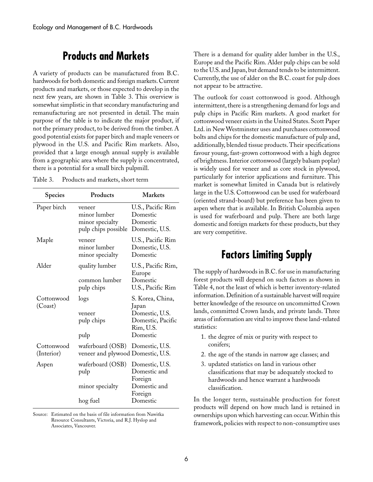# **Products and Markets**

A variety of products can be manufactured from B.C. hardwoods for both domestic and foreign markets. Current products and markets, or those expected to develop in the next few years, are shown in Table 3. This overview is somewhat simplistic in that secondary manufacturing and remanufacturing are not presented in detail. The main purpose of the table is to indicate the major product, if not the primary product, to be derived from the timber. A good potential exists for paper birch and maple veneers or plywood in the U.S. and Pacific Rim markets. Also, provided that a large enough annual supply is available from a geographic area where the supply is concentrated, there is a potential for a small birch pulpmill.

| Table 3. | Products and markets, short term |  |  |  |  |
|----------|----------------------------------|--|--|--|--|
|----------|----------------------------------|--|--|--|--|

| Species                  | Products                                                         | Markets                                                                                   |
|--------------------------|------------------------------------------------------------------|-------------------------------------------------------------------------------------------|
| Paper birch              | veneer<br>minor lumber<br>minor specialty<br>pulp chips possible | U.S., Pacific Rim<br>Domestic<br>Domestic<br>Domestic, U.S.                               |
| Maple                    | veneer<br>minor lumber<br>minor specialty                        | U.S., Pacific Rim<br>Domestic, U.S.<br>Domestic                                           |
| Alder                    | quality lumber<br>common lumber<br>pulp chips                    | U.S., Pacific Rim,<br>Europe<br>Domestic<br>U.S., Pacific Rim                             |
| Cottonwood<br>(Coast)    | logs<br>veneer<br>pulp chips<br>pulp                             | S. Korea, China,<br>Japan<br>Domestic, U.S.<br>Domestic, Pacific<br>Rim, U.S.<br>Domestic |
| Cottonwood<br>(Interior) | waferboard (OSB)<br>veneer and plywood Domestic, U.S.            | Domestic, U.S.                                                                            |
| Aspen                    | waferboard (OSB)<br>pulp<br>minor specialty                      | Domestic, U.S.<br>Domestic and<br>Foreign<br>Domestic and<br>Foreign                      |
|                          | hog fuel                                                         | Domestic                                                                                  |

Source: Estimated on the basis of file information from Nawitka Resource Consultants, Victoria, and R.J. Hyslop and Associates, Vancouver.

There is a demand for quality alder lumber in the U.S., Europe and the Pacific Rim. Alder pulp chips can be sold to the U.S. and Japan, but demand tends to be intermittent. Currently, the use of alder on the B.C. coast for pulp does not appear to be attractive.

The outlook for coast cottonwood is good. Although intermittent, there is a strengthening demand for logs and pulp chips in Pacific Rim markets. A good market for cottonwood veneer exists in the United States. Scott Paper Ltd. in New Westminster uses and purchases cottonwood bolts and chips for the domestic manufacture of pulp and, additionally, blended tissue products. Their specifications favour young, fast-grown cottonwood with a high degree of brightness. Interior cottonwood (largely balsam poplar) is widely used for veneer and as core stock in plywood, particularly for interior applications and furniture. This market is somewhat limited in Canada but is relatively large in the U.S. Cottonwood can be used for waferboard (oriented strand-board) but preference has been given to aspen where that is available. In British Columbia aspen is used for waferboard and pulp. There are both large domestic and foreign markets for these products, but they are very competitive.

## **Factors Limiting Supply**

The supply of hardwoods in B.C. for use in manufacturing forest products will depend on such factors as shown in Table 4, not the least of which is better inventory-related information. Definition of a sustainable harvest will require better knowledge of the resource on uncommitted Crown lands, committed Crown lands, and private lands. Three areas of information are vital to improve these land-related statistics:

- 1. the degree of mix or purity with respect to conifers;
- 2. the age of the stands in narrow age classes; and
- 3. updated statistics on land in various other classifications that may be adequately stocked to hardwoods and hence warrant a hardwoods classification.

In the longer term, sustainable production for forest products will depend on how much land is retained in ownerships upon which harvesting can occur. Within this framework, policies with respect to non-consumptive uses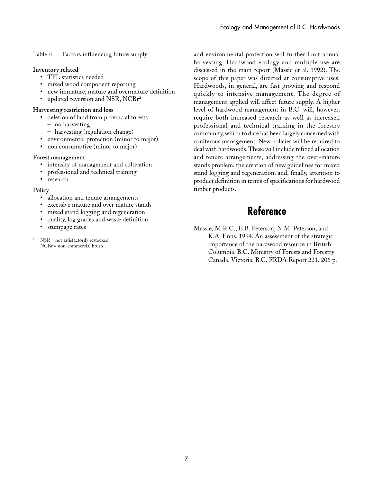Table 4. Factors influencing future supply

#### **Inventory related**

- TFL statistics needed
- mixed wood component reporting
- new immature, mature and overmature definition
- updated reversion and NSR, NCBr<sup>a</sup>

#### **Harvesting restriction and loss**

- deletion of land from provincial forests
	- no harvesting
	- harvesting (regulation change)
- environmental protection (minor to major)
- non consumptive (minor to major)

#### **Forest management**

- intensity of management and cultivation
- professional and technical training
- research

#### **Policy**

- allocation and tenure arrangements
- excessive mature and over mature stands
- mixed stand logging and regeneration
- quality, log grades and waste definition
- stumpage rates

NSR = not satisfactorily restocked NCBr = non-commercial brush

and environmental protection will further limit annual harvesting. Hardwood ecology and multiple use are discussed in the main report (Massie et al. 1992). The scope of this paper was directed at consumptive uses. Hardwoods, in general, are fast growing and respond quickly to intensive management. The degree of management applied will affect future supply. A higher level of hardwood management in B.C. will, however, require both increased research as well as increased professional and technical training in the forestry community, which to date has been largely concerned with coniferous management. New policies will be required to deal with hardwoods. These will include refined allocation and tenure arrangements, addressing the over-mature stands problem, the creation of new guidelines for mixed stand logging and regeneration, and, finally, attention to product definition in terms of specifications for hardwood timber products.

# **Reference**

Massie, M.R.C., E.B. Peterson, N.M. Peterson, and K.A. Enns. 1994. An assessment of the strategic importance of the hardwood resource in British Columbia. B.C. Ministry of Forests and Forestry Canada, Victoria, B.C. FRDA Report 221. 206 p.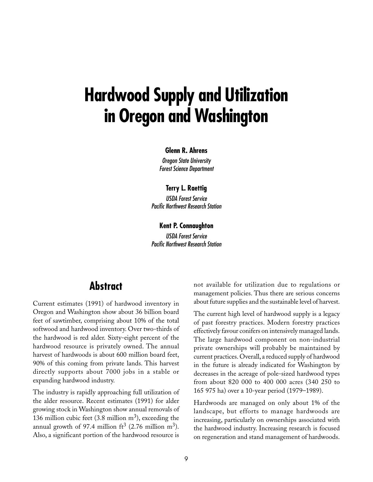# **Hardwood Supply and Utilization in Oregon and Washington**

#### **Glenn R. Ahrens**

Oregon State University Forest Science Department

#### **Terry L. Raettig**

USDA Forest Service Pacific Northwest Research Station

#### **Kent P. Connaughton**

USDA Forest Service Pacific Northwest Research Station

# **Abstract**

Current estimates (1991) of hardwood inventory in Oregon and Washington show about 36 billion board feet of sawtimber, comprising about 10% of the total softwood and hardwood inventory. Over two-thirds of the hardwood is red alder. Sixty-eight percent of the hardwood resource is privately owned. The annual harvest of hardwoods is about 600 million board feet, 90% of this coming from private lands. This harvest directly supports about 7000 jobs in a stable or expanding hardwood industry.

The industry is rapidly approaching full utilization of the alder resource. Recent estimates (1991) for alder growing stock in Washington show annual removals of 136 million cubic feet  $(3.8 \text{ million m}^3)$ , exceeding the annual growth of 97.4 million  $\text{ft}^3$  (2.76 million m<sup>3</sup>). Also, a significant portion of the hardwood resource is

not available for utilization due to regulations or management policies. Thus there are serious concerns about future supplies and the sustainable level of harvest.

The current high level of hardwood supply is a legacy of past forestry practices. Modern forestry practices effectively favour conifers on intensively managed lands. The large hardwood component on non-industrial private ownerships will probably be maintained by current practices. Overall, a reduced supply of hardwood in the future is already indicated for Washington by decreases in the acreage of pole-sized hardwood types from about 820 000 to 400 000 acres (340 250 to 165␣ 975 ha) over a 10-year period (1979–1989).

Hardwoods are managed on only about 1% of the landscape, but efforts to manage hardwoods are increasing, particularly on ownerships associated with the hardwood industry. Increasing research is focused on regeneration and stand management of hardwoods.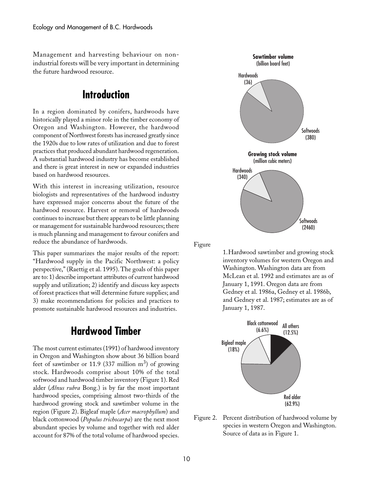Management and harvesting behaviour on nonindustrial forests will be very important in determining the future hardwood resource.

# **Introduction**

In a region dominated by conifers, hardwoods have historically played a minor role in the timber economy of Oregon and Washington. However, the hardwood component of Northwest forests has increased greatly since the 1920s due to low rates of utilization and due to forest practices that produced abundant hardwood regeneration. A substantial hardwood industry has become established and there is great interest in new or expanded industries based on hardwood resources.

With this interest in increasing utilization, resource biologists and representatives of the hardwood industry have expressed major concerns about the future of the hardwood resource. Harvest or removal of hardwoods continues to increase but there appears to be little planning or management for sustainable hardwood resources; there is much planning and management to favour conifers and reduce the abundance of hardwoods.

This paper summarizes the major results of the report: "Hardwood supply in the Pacific Northwest: a policy perspective," (Raettig et al. 1995). The goals of this paper are to: 1) describe important attributes of current hardwood supply and utilization; 2) identify and discuss key aspects of forest practices that will determine future supplies; and 3) make recommendations for policies and practices to promote sustainable hardwood resources and industries.

# **Hardwood Timber**

The most current estimates (1991) of hardwood inventory in Oregon and Washington show about 36 billion board feet of sawtimber or 11.9 (337 million  $m<sup>3</sup>$ ) of growing stock. Hardwoods comprise about 10% of the total softwood and hardwood timber inventory (Figure 1). Red alder (*Alnus rubra* Bong.) is by far the most important hardwood species, comprising almost two-thirds of the hardwood growing stock and sawtimber volume in the region (Figure 2). Bigleaf maple (*Acer macrophyllum*) and black cottonwood (*Populus trichocarpa*) are the next most abundant species by volume and together with red alder account for 87% of the total volume of hardwood species.



Figure

1.Hardwood sawtimber and growing stock inventory volumes for western Oregon and Washington. Washington data are from McLean et al. 1992 and estimates are as of January 1, 1991. Oregon data are from Gedney et al. 1986a, Gedney et al. 1986b, and Gedney et al. 1987; estimates are as of January 1, 1987.



Figure 2. Percent distribution of hardwood volume by species in western Oregon and Washington. Source of data as in Figure 1.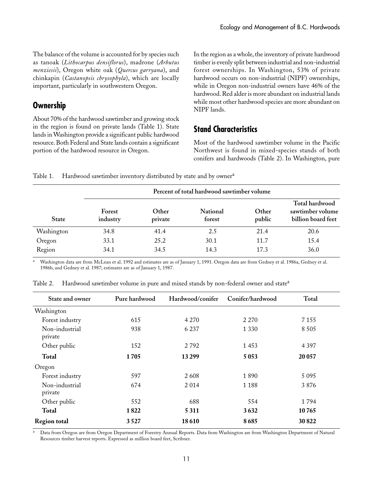The balance of the volume is accounted for by species such as tanoak (*Lithocarpus densiflorus*), madrone (*Arbutus menziesii*), Oregon white oak (*Quercus garryana*), and chinkapin (*Castanopsis chrysophyla*), which are locally important, particularly in southwestern Oregon.

### **Ownership**

About 70% of the hardwood sawtimber and growing stock in the region is found on private lands (Table 1). State lands in Washington provide a significant public hardwood resource. Both Federal and State lands contain a significant portion of the hardwood resource in Oregon.

In the region as a whole, the inventory of private hardwood timber is evenly split between industrial and non-industrial forest ownerships. In Washington, 53% of private hardwood occurs on non-industrial (NIPF) ownerships, while in Oregon non-industrial owners have 46% of the hardwood. Red alder is more abundant on industrial lands while most other hardwood species are more abundant on NIPF lands.

## **Stand Characteristics**

Most of the hardwood sawtimber volume in the Pacific Northwest is found in mixed-species stands of both conifers and hardwoods (Table 2). In Washington, pure

|  |  | Table 1. Hardwood sawtimber inventory distributed by state and by owner <sup>a</sup> |  |  |  |  |  |  |
|--|--|--------------------------------------------------------------------------------------|--|--|--|--|--|--|
|--|--|--------------------------------------------------------------------------------------|--|--|--|--|--|--|

|              |                    |                  | Percent of total hardwood sawtimber volume |                 |                                                          |
|--------------|--------------------|------------------|--------------------------------------------|-----------------|----------------------------------------------------------|
| <b>State</b> | Forest<br>industry | Other<br>private | National<br>forest                         | Other<br>public | Total hardwood<br>sawtimber volume<br>billion board feet |
| Washington   | 34.8               | 41.4             | 2.5                                        | 21.4            | 20.6                                                     |
| Oregon       | 33.1               | 25.2             | 30.1                                       | 11.7            | 15.4                                                     |
| Region       | 34.1               | 34.5             | 14.3                                       | 17.3            | 36.0                                                     |

<sup>a</sup> Washington data are from McLean et al. 1992 and estimates are as of January 1, 1991. Oregon data are from Gedney et al. 1986a, Gedney et al. 1986b, and Gedney et al. 1987; estimates are as of January 1, 1987.

| State and owner           | Pure hardwood | Hardwood/conifer | Conifer/hardwood | Total   |
|---------------------------|---------------|------------------|------------------|---------|
| Washington                |               |                  |                  |         |
| Forest industry           | 615           | 4 2 7 0          | 2 2 7 0          | 7 1 5 5 |
| Non-industrial<br>private | 938           | 6 2 3 7          | 1 3 3 0          | 8 5 0 5 |
| Other public              | 152           | 2792             | 1 4 5 3          | 4 3 9 7 |
| <b>Total</b>              | 1705          | 13 299           | 5 0 5 3          | 20 057  |
| Oregon                    |               |                  |                  |         |
| Forest industry           | 597           | 2608             | 1890             | 5 0 9 5 |
| Non-industrial<br>private | 674           | 2014             | 1 1 8 8          | 3876    |
| Other public              | 552           | 688              | 554              | 1794    |
| <b>Total</b>              | 1822          | 5 3 1 1          | 3632             | 10765   |
| <b>Region total</b>       | 3527          | 18610            | 8685             | 30 822  |

Table 2. Hardwood sawtimber volume in pure and mixed stands by non-federal owner and state<sup>a</sup>

Data from Oregon are from Oregon Department of Forestry Annual Reports. Data from Washington are from Washington Department of Natural Resources timber harvest reports. Expressed as million board feet, Scribner.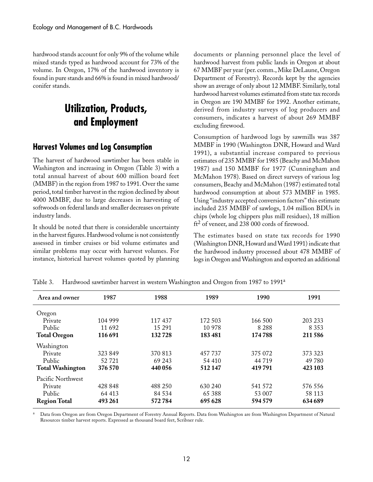hardwood stands account for only 9% of the volume while mixed stands typed as hardwood account for 73% of the volume. In Oregon, 17% of the hardwood inventory is found in pure stands and 66% is found in mixed hardwood/ conifer stands.

# **Utilization, Products, and Employment**

#### **Harvest Volumes and Log Consumption**

The harvest of hardwood sawtimber has been stable in Washington and increasing in Oregon (Table 3) with a total annual harvest of about 600 million board feet (MMBF) in the region from 1987 to 1991. Over the same period, total timber harvest in the region declined by about 4000 MMBF, due to large decreases in harvesting of softwoods on federal lands and smaller decreases on private industry lands.

It should be noted that there is considerable uncertainty in the harvest figures. Hardwood volume is not consistently assessed in timber cruises or bid volume estimates and similar problems may occur with harvest volumes. For instance, historical harvest volumes quoted by planning documents or planning personnel place the level of hardwood harvest from public lands in Oregon at about 67 MMBF per year (per. comm., Mike DeLaune, Oregon Department of Forestry). Records kept by the agencies show an average of only about 12 MMBF. Similarly, total hardwood harvest volumes estimated from state tax records in Oregon are 190 MMBF for 1992. Another estimate, derived from industry surveys of log producers and consumers, indicates a harvest of about 269 MMBF excluding firewood.

Consumption of hardwood logs by sawmills was 387 MMBF in 1990 (Washington DNR, Howard and Ward 1991), a substantial increase compared to previous estimates of 235 MMBF for 1985 (Beachy and McMahon 1987) and 150 MMBF for 1977 (Cunningham and McMahon 1978). Based on direct surveys of various log consumers, Beachy and McMahon (1987) estimated total hardwood consumption at about 573 MMBF in 1985. Using "industry accepted conversion factors" this estimate included 235 MMBF of sawlogs, 1.04 million BDUs in chips (whole log chippers plus mill residues), 18 million  $ft<sup>2</sup>$  of veneer, and 238 000 cords of firewood.

The estimates based on state tax records for 1990 (Washington DNR, Howard and Ward 1991) indicate that the hardwood industry processed about 478 MMBF of logs in Oregon and Washington and exported an additional

| 1987    | 1988    | 1989    | 1990    | 1991    |
|---------|---------|---------|---------|---------|
|         |         |         |         |         |
| 104 999 | 117 437 | 172 503 | 166 500 | 203 233 |
| 11 692  | 15 291  | 10 978  | 8 2 8 8 | 8 3 5 3 |
| 116 691 | 132728  | 183 481 | 174788  | 211586  |
|         |         |         |         |         |
| 323 849 | 370 813 | 457 737 | 375 072 | 373 323 |
| 52 721  | 69 243  | 54 410  | 44 719  | 49 780  |
| 376 570 | 440 056 | 512147  | 419791  | 423 103 |
|         |         |         |         |         |
| 428 848 | 488 250 | 630 240 | 541 572 | 576 556 |
| 64 413  | 84 5 34 | 65 3 88 | 53 007  | 58 113  |
| 493 261 | 572784  | 695 628 | 594579  | 634689  |
|         |         |         |         |         |

Table 3. Hardwood sawtimber harvest in western Washington and Oregon from 1987 to 1991<sup>a</sup>

Data from Oregon are from Oregon Department of Forestry Annual Reports. Data from Washington are from Washington Department of Natural Resources timber harvest reports. Expressed as thousand board feet, Scribner rule.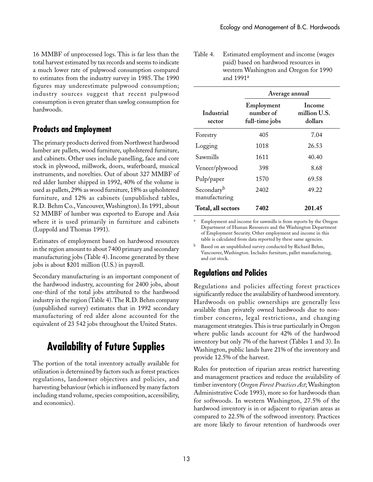16 MMBF of unprocessed logs. This is far less than the total harvest estimated by tax records and seems to indicate a much lower rate of pulpwood consumption compared to estimates from the industry survey in 1985. The 1990 figures may underestimate pulpwood consumption; industry sources suggest that recent pulpwood consumption is even greater than sawlog consumption for hardwoods.

### **Products and Employment**

The primary products derived from Northwest hardwood lumber are pallets, wood furniture, upholstered furniture, and cabinets. Other uses include panelling, face and core stock in plywood, millwork, doors, waferboard, musical instruments, and novelties. Out of about 327 MMBF of red alder lumber shipped in 1992, 40% of the volume is used as pallets, 29% as wood furniture, 18% as upholstered furniture, and 12% as cabinets (unpublished tables, R.D.␣ Behm Co., Vancouver, Washington). In 1991, about 52 MMBF of lumber was exported to Europe and Asia where it is used primarily in furniture and cabinets (Luppold and Thomas 1991).

Estimates of employment based on hardwood resources in the region amount to about 7400 primary and secondary manufacturing jobs (Table 4). Income generated by these jobs is about \$201 million (U.S.) in payroll.

Secondary manufacturing is an important component of the hardwood industry, accounting for 2400 jobs, about one-third of the total jobs attributed to the hardwood industry in the region (Table 4). The R.D. Behm company (unpublished survey) estimates that in 1992 secondary manufacturing of red alder alone accounted for the equivalent of 23 542 jobs throughout the United States.

# **Availability of Future Supplies**

The portion of the total inventory actually available for utilization is determined by factors such as forest practices regulations, landowner objectives and policies, and harvesting behaviour (which is influenced by many factors including stand volume, species composition, accessibility, and economics).

| Table 4. Estimated employment and income (wages |
|-------------------------------------------------|
| paid) based on hardwood resources in            |
| western Washington and Oregon for 1990          |
| and $1991a$                                     |

|                             | Average annual                            |                                   |
|-----------------------------|-------------------------------------------|-----------------------------------|
| Industrial<br>sector        | Employment<br>number of<br>full-time jobs | Income<br>million U.S.<br>dollars |
| Forestry                    | 405                                       | 7.04                              |
| Logging                     | 1018                                      | 26.53                             |
| Sawmills                    | 1611                                      | 40.40                             |
| Veneer/plywood              | 398                                       | 8.68                              |
| Pulp/paper                  | 1570                                      | 69.58                             |
| Secondaryb<br>manufacturing | 2402                                      | 49.22                             |
| Total, all sectors          | 7402                                      | 201.45                            |

Employment and income for sawmills is from reports by the Oregon Department of Human Resources and the Washington Department of Employment Security. Other employment and income in this table is calculated from data reported by these same agencies.

Based on an unpublished survey conducted by Richard Behm, Vancouver, Washington. Includes furniture, pallet manufacturing, and cut stock.

### **Regulations and Policies**

Regulations and policies affecting forest practices significantly reduce the availability of hardwood inventory. Hardwoods on public ownerships are generally less available than privately owned hardwoods due to nontimber concerns, legal restrictions, and changing management strategies. This is true particularly in Oregon where public lands account for 42% of the hardwood inventory but only 7% of the harvest (Tables 1 and 3). In Washington, public lands have 21% of the inventory and provide 12.5% of the harvest.

Rules for protection of riparian areas restrict harvesting and management practices and reduce the availability of timber inventory (*Oregon Forest Practices Act*; Washington Administrative Code 1993), more so for hardwoods than for softwoods. In western Washington, 27.5% of the hardwood inventory is in or adjacent to riparian areas as compared to 22.5% of the softwood inventory. Practices are more likely to favour retention of hardwoods over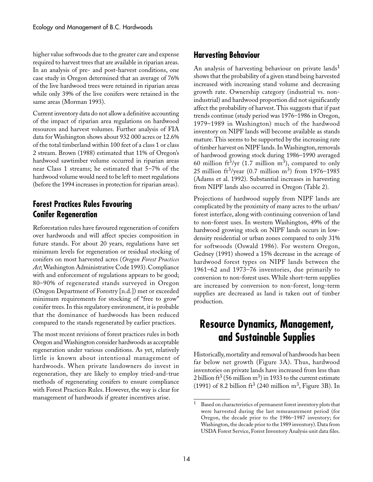higher value softwoods due to the greater care and expense required to harvest trees that are available in riparian areas. In an analysis of pre- and post-harvest conditions, one case study in Oregon determined that an average of 76% of the live hardwood trees were retained in riparian areas while only 39% of the live conifers were retained in the same areas (Morman 1993).

Current inventory data do not allow a definitive accounting of the impact of riparian area regulations on hardwood resources and harvest volumes. Further analysis of FIA data for Washington shows about 932␣ 000 acres or 12.6% of the total timberland within 100 feet of a class 1 or class 2 stream. Brown (1988) estimated that 11% of Oregon's hardwood sawtimber volume occurred in riparian areas near Class 1 streams; he estimated that 5–7% of the hardwood volume would need to be left to meet regulations (before the 1994 increases in protection for riparian areas).

#### **Forest Practices Rules Favouring Conifer Regeneration**

Reforestation rules have favoured regeneration of conifers over hardwoods and will affect species composition in future stands. For about 20 years, regulations have set minimum levels for regeneration or residual stocking of conifers on most harvested acres (*Oregon Forest Practices Act*; Washington Administrative Code 1993). Compliance with and enforcement of regulations appears to be good; 80–90% of regenerated stands surveyed in Oregon (Oregon Department of Forestry [n.d.]) met or exceeded minimum requirements for stocking of "free to grow" conifer trees. In this regulatory environment, it is probable that the dominance of hardwoods has been reduced compared to the stands regenerated by earlier practices.

The most recent revisions of forest practices rules in both Oregon and Washington consider hardwoods as acceptable regeneration under various conditions. As yet, relatively little is known about intentional management of hardwoods. When private landowners do invest in regeneration, they are likely to employ tried-and-true methods of regenerating conifers to ensure compliance with Forest Practices Rules. However, the way is clear for management of hardwoods if greater incentives arise.

#### **Harvesting Behaviour**

An analysis of harvesting behaviour on private lands<sup>1</sup> shows that the probability of a given stand being harvested increased with increasing stand volume and decreasing growth rate. Ownership category (industrial vs. nonindustrial) and hardwood proportion did not significantly affect the probability of harvest. This suggests that if past trends continue (study period was 1976–1986 in Oregon, 1979–1989 in Washington) much of the hardwood inventory on NIPF lands will become available as stands mature. This seems to be supported by the increasing rate of timber harvest on NIPF lands. In Washington, removals of hardwood growing stock during 1986–1990 averaged 60 million ft<sup>3</sup>/yr (1.7 million m<sup>3</sup>), compared to only 25 million ft<sup>3</sup>/year (0.7 million m<sup>3</sup>) from 1976–1985 (Adams et al. 1992). Substantial increases in harvesting from NIPF lands also occurred in Oregon (Table 2).

Projections of hardwood supply from NIPF lands are complicated by the proximity of many acres to the urban/ forest interface, along with continuing conversion of land to non-forest uses. In western Washington, 49% of the hardwood growing stock on NIPF lands occurs in lowdensity residential or urban zones compared to only 31% for softwoods (Oswald 1986). For western Oregon, Gedney (1991) showed a 15% decrease in the acreage of hardwood forest types on NIPF lands between the 1961–62 and 1973–76 inventories, due primarily to conversion to non-forest uses. While short-term supplies are increased by conversion to non-forest, long-term supplies are decreased as land is taken out of timber production.

# **Resource Dynamics, Management, and Sustainable Supplies**

Historically, mortality and removal of hardwoods has been far below net growth (Figure 3A). Thus, hardwood inventories on private lands have increased from less than 2 billion ft<sup>3</sup> (56 million m<sup>3</sup>) in 1933 to the current estimate (1991) of 8.2 billion  $\text{ft}^3$  (240 million m<sup>3</sup>, Figure 3B). In

Based on characteristics of permanent forest inventory plots that were harvested during the last remeasurement period (for Oregon, the decade prior to the 1986–1987 inventory; for Washington, the decade prior to the 1989 inventory). Data from USDA Forest Service, Forest Inventory Analysis unit data files.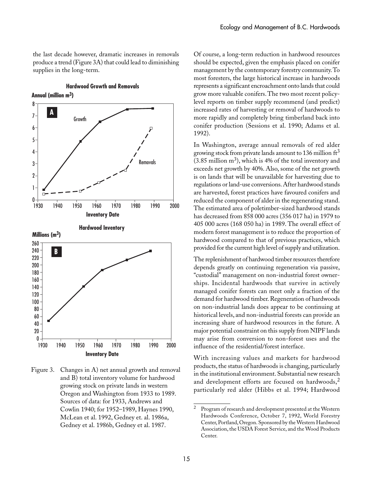the last decade however, dramatic increases in removals produce a trend (Figure 3A) that could lead to diminishing supplies in the long-term.

**Hardwood Growth and Removals**

**Annual (million m3)**



Figure 3. Changes in A) net annual growth and removal and B) total inventory volume for hardwood growing stock on private lands in western Oregon and Washington from 1933 to 1989. Sources of data: for 1933, Andrews and Cowlin 1940; for 1952–1989, Haynes 1990, McLean et al. 1992, Gedney et. al. 1986a, Gedney et al. 1986b, Gedney et al. 1987.

Of course, a long-term reduction in hardwood resources should be expected, given the emphasis placed on conifer management by the contemporary forestry community. To most foresters, the large historical increase in hardwoods represents a significant encroachment onto lands that could grow more valuable conifers. The two most recent policylevel reports on timber supply recommend (and predict) increased rates of harvesting or removal of hardwoods to more rapidly and completely bring timberland back into conifer production (Sessions et al. 1990; Adams et al. 1992).

In Washington, average annual removals of red alder growing stock from private lands amount to 136 million  $\text{ft}^3$  $(3.85 \text{ million m}^3)$ , which is 4% of the total inventory and exceeds net growth by 40%. Also, some of the net growth is on lands that will be unavailable for harvesting due to regulations or land-use conversions. After hardwood stands are harvested, forest practices have favoured conifers and reduced the component of alder in the regenerating stand. The estimated area of poletimber-sized hardwood stands has decreased from 858 000 acres (356 017 ha) in 1979 to 405 000 acres (168 050 ha) in 1989. The overall effect of modern forest management is to reduce the proportion of hardwood compared to that of previous practices, which provided for the current high level of supply and utilization.

The replenishment of hardwood timber resources therefore depends greatly on continuing regeneration via passive, "custodial" management on non-industrial forest ownerships. Incidental hardwoods that survive in actively managed conifer forests can meet only a fraction of the demand for hardwood timber. Regeneration of hardwoods on non-industrial lands does appear to be continuing at historical levels, and non-industrial forests can provide an increasing share of hardwood resources in the future. A major potential constraint on this supply from NIPF lands may arise from conversion to non-forest uses and the influence of the residential/forest interface.

With increasing values and markets for hardwood products, the status of hardwoods is changing, particularly in the institutional environment. Substantial new research and development efforts are focused on hardwoods,<sup>2</sup> particularly red alder (Hibbs et al. 1994; Hardwood

<sup>&</sup>lt;sup>2</sup> Program of research and development presented at the Western Hardwoods Conference, October 7, 1992, World Forestry Center, Portland, Oregon. Sponsored by the Western Hardwood Association, the USDA Forest Service, and the Wood Products Center.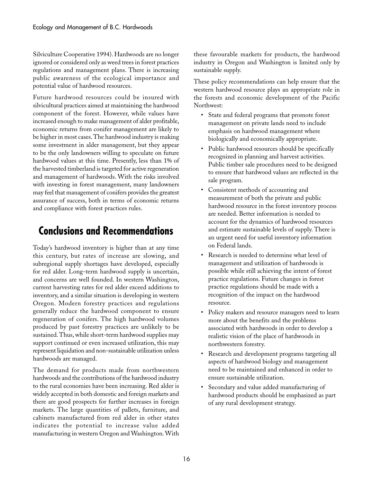Silviculture Cooperative 1994). Hardwoods are no longer ignored or considered only as weed trees in forest practices regulations and management plans. There is increasing public awareness of the ecological importance and potential value of hardwood resources.

Future hardwood resources could be insured with silvicultural practices aimed at maintaining the hardwood component of the forest. However, while values have increased enough to make management of alder profitable, economic returns from conifer management are likely to be higher in most cases. The hardwood industry is making some investment in alder management, but they appear to be the only landowners willing to speculate on future hardwood values at this time. Presently, less than 1% of the harvested timberland is targeted for active regeneration and management of hardwoods. With the risks involved with investing in forest management, many landowners may feel that management of conifers provides the greatest assurance of success, both in terms of economic returns and compliance with forest practices rules.

# **Conclusions and Recommendations**

Today's hardwood inventory is higher than at any time this century, but rates of increase are slowing, and subregional supply shortages have developed, especially for red alder. Long-term hardwood supply is uncertain, and concerns are well founded. In western Washington, current harvesting rates for red alder exceed additions to inventory, and a similar situation is developing in western Oregon. Modern forestry practices and regulations generally reduce the hardwood component to ensure regeneration of conifers. The high hardwood volumes produced by past forestry practices are unlikely to be sustained. Thus, while short-term hardwood supplies may support continued or even increased utilization, this may represent liquidation and non-sustainable utilization unless hardwoods are managed.

The demand for products made from northwestern hardwoods and the contributions of the hardwood industry to the rural economies have been increasing. Red alder is widely accepted in both domestic and foreign markets and there are good prospects for further increases in foreign markets. The large quantities of pallets, furniture, and cabinets manufactured from red alder in other states indicates the potential to increase value added manufacturing in western Oregon and Washington. With

these favourable markets for products, the hardwood industry in Oregon and Washington is limited only by sustainable supply.

These policy recommendations can help ensure that the western hardwood resource plays an appropriate role in the forests and economic development of the Pacific Northwest:

- State and federal programs that promote forest management on private lands need to include emphasis on hardwood management where biologically and economically appropriate.
- Public hardwood resources should be specifically recognized in planning and harvest activities. Public timber sale procedures need to be designed to ensure that hardwood values are reflected in the sale program.
- Consistent methods of accounting and measurement of both the private and public hardwood resource in the forest inventory process are needed. Better information is needed to account for the dynamics of hardwood resources and estimate sustainable levels of supply. There is an urgent need for useful inventory information on Federal lands.
- Research is needed to determine what level of management and utilization of hardwoods is possible while still achieving the intent of forest practice regulations. Future changes in forest practice regulations should be made with a recognition of the impact on the hardwood resource.
- Policy makers and resource managers need to learn more about the benefits and the problems associated with hardwoods in order to develop a realistic vision of the place of hardwoods in northwestern forestry.
- Research and development programs targeting all aspects of hardwood biology and management need to be maintained and enhanced in order to ensure sustainable utilization.
- Secondary and value added manufacturing of hardwood products should be emphasized as part of any rural development strategy.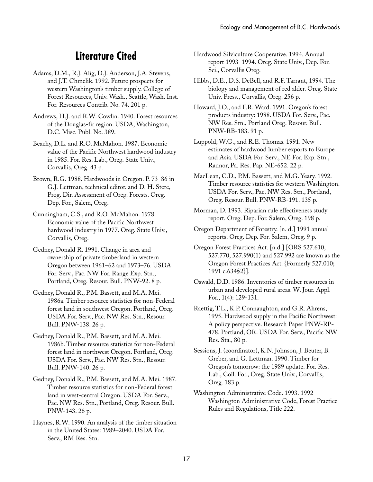# **Literature Cited**

- Adams, D.M., R.J. Alig, D.J. Anderson, J.A. Stevens, and J.T. Chmelik. 1992. Future prospects for western Washington's timber supply. College of Forest Resources, Univ. Wash., Seattle, Wash. Inst. For. Resources Contrib. No. 74. 201 p.
- Andrews, H.J. and R.W. Cowlin. 1940. Forest resources of the Douglas-fir region. USDA, Washington, D.C. Misc. Publ. No. 389.
- Beachy, D.L. and R.O. McMahon. 1987. Economic value of the Pacific Northwest hardwood industry in 1985. For. Res. Lab., Oreg. State Univ., Corvallis, Oreg. 43 p.
- Brown, R.G. 1988. Hardwoods in Oregon. P. 73–86 in G.J. Lettman, technical editor. and D. H. Stere, Prog. Dir. Assessment of Oreg. Forests. Oreg. Dep. For., Salem, Oreg.
- Cunningham, C.S., and R.O. McMahon. 1978. Economic value of the Pacific Northwest hardwood industry in 1977. Oreg. State Univ., Corvallis, Oreg.
- Gedney, Donald R. 1991. Change in area and ownership of private timberland in western Oregon between 1961–62 and 1973–76. USDA For. Serv., Pac. NW For. Range Exp. Stn., Portland, Oreg. Resour. Bull. PNW-92. 8 p.
- Gedney, Donald R., P.M. Bassett, and M.A. Mei. 1986a. Timber resource statistics for non-Federal forest land in southwest Oregon. Portland, Oreg. USDA For. Serv., Pac. NW Res. Stn., Resour. Bull. PNW-138. 26 p.
- Gedney, Donald R., P.M. Bassett, and M.A. Mei. 1986b. Timber resource statistics for non-Federal forest land in northwest Oregon. Portland, Oreg. USDA For. Serv., Pac. NW Res. Stn., Resour. Bull. PNW-140. 26 p.
- Gedney, Donald R., P.M. Bassett, and M.A. Mei. 1987. Timber resource statistics for non-Federal forest land in west-central Oregon. USDA For. Serv., Pac. NW Res. Stn., Portland, Oreg. Resour. Bull. PNW-143. 26 p.
- Haynes, R.W. 1990. An analysis of the timber situation in the United States: 1989–2040. USDA For. Serv., RM Res. Stn.
- Hardwood Silviculture Cooperative. 1994. Annual report 1993–1994. Oreg. State Univ., Dep. For. Sci., Corvallis Oreg.
- Hibbs, D.E., D.S. DeBell, and R.F. Tarrant, 1994. The biology and management of red alder. Oreg. State Univ. Press., Corvallis, Oreg. 256 p.
- Howard, J.O., and F.R. Ward. 1991. Oregon's forest products industry: 1988. USDA For. Serv., Pac. NW Res. Stn., Portland Oreg. Resour. Bull. PNW-RB-183. 91 p.
- Luppold, W.G., and R.E. Thomas. 1991. New estimates of hardwood lumber exports to Europe and Asia. USDA For. Serv., NE For. Exp. Stn., Radnor, Pa. Res. Pap. NE-652. 22 p.
- MacLean, C.D., P.M. Bassett, and M.G. Yeary. 1992. Timber resource statistics for western Washington. USDA For. Serv., Pac. NW Res. Stn., Portland, Oreg. Resour. Bull. PNW-RB-191. 135 p.
- Morman, D. 1993. Riparian rule effectiveness study report. Oreg. Dep. For. Salem, Oreg. 198 p.
- Oregon Department of Forestry. [n. d.] 1991 annual reports. Oreg. Dep. For. Salem, Oreg. 9 p.
- Oregon Forest Practices Act. [n.d.] [ORS 527.610, 527.770, 527.990(1) and 527.992 are known as the Oregon Forest Practices Act. {Formerly 527.010; 1991 c.634§2}].
- Oswald, D.D. 1986. Inventories of timber resources in urban and developed rural areas. W. Jour. Appl. For., 1(4): 129-131.
- Raettig, T.L., K.P. Connaughton, and G.R. Ahrens, 1995. Hardwood supply in the Pacific Northwest: A policy perspective. Research Paper PNW-RP-478. Portland, OR. USDA For. Serv., Pacific NW Res. Sta., 80 p.
- Sessions, J. (coordinator), K.N. Johnson, J. Beuter, B. Greber, and G. Lettman. 1990. Timber for Oregon's tomorrow: the 1989 update. For. Res. Lab., Coll. For., Oreg. State Univ., Corvallis, Oreg. 183 p.
- Washington Administrative Code. 1993. 1992 Washington Administrative Code, Forest Practice Rules and Regulations, Title 222.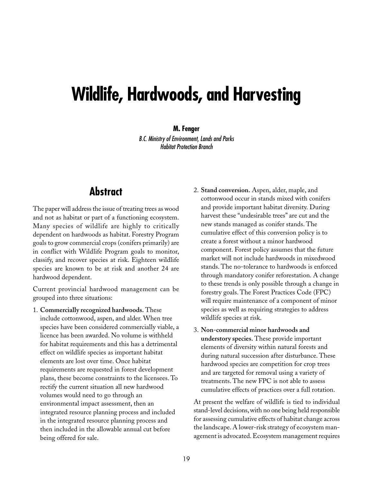# **Wildlife, Hardwoods, and Harvesting**

#### **M. Fenger**

B.C. Ministry of Environment, Lands and Parks Habitat Protection Branch

# **Abstract**

The paper will address the issue of treating trees as wood and not as habitat or part of a functioning ecosystem. Many species of wildlife are highly to critically dependent on hardwoods as habitat. Forestry Program goals to grow commercial crops (conifers primarily) are in conflict with Wildlife Program goals to monitor, classify, and recover species at risk. Eighteen wildlife species are known to be at risk and another 24 are hardwood dependent.

Current provincial hardwood management can be grouped into three situations:

- 1. **Commercially recognized hardwoods.** These include cottonwood, aspen, and alder. When tree species have been considered commercially viable, a licence has been awarded. No volume is withheld for habitat requirements and this has a detrimental effect on wildlife species as important habitat elements are lost over time. Once habitat requirements are requested in forest development plans, these become constraints to the licensees. To rectify the current situation all new hardwood volumes would need to go through an environmental impact assessment, then an integrated resource planning process and included in the integrated resource planning process and then included in the allowable annual cut before being offered for sale.
- 2. **Stand conversion.** Aspen, alder, maple, and cottonwood occur in stands mixed with conifers and provide important habitat diversity. During harvest these "undesirable trees" are cut and the new stands managed as conifer stands. The cumulative effect of this conversion policy is to create a forest without a minor hardwood component. Forest policy assumes that the future market will not include hardwoods in mixedwood stands. The no-tolerance to hardwoods is enforced through mandatory conifer reforestation. A change to these trends is only possible through a change in forestry goals. The Forest Practices Code (FPC) will require maintenance of a component of minor species as well as requiring strategies to address wildlife species at risk.
- 3. **Non-commercial minor hardwoods and understory species.** These provide important elements of diversity within natural forests and during natural succession after disturbance. These hardwood species are competition for crop trees and are targeted for removal using a variety of treatments. The new FPC is not able to assess cumulative effects of practices over a full rotation.

At present the welfare of wildlife is tied to individual stand-level decisions, with no one being held responsible for assessing cumulative effects of habitat change across the landscape. A lower-risk strategy of ecosystem management is advocated. Ecosystem management requires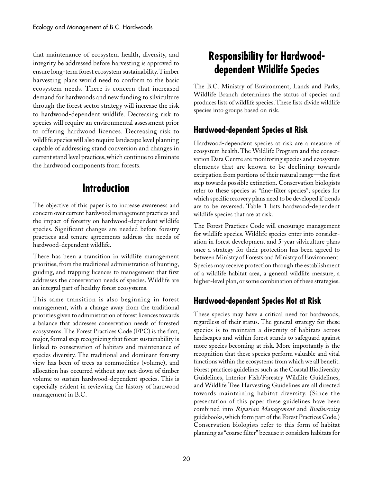that maintenance of ecosystem health, diversity, and integrity be addressed before harvesting is approved to ensure long-term forest ecosystem sustainability. Timber harvesting plans would need to conform to the basic ecosystem needs. There is concern that increased demand for hardwoods and new funding to silviculture through the forest sector strategy will increase the risk to hardwood-dependent wildlife. Decreasing risk to species will require an environmental assessment prior to offering hardwood licences. Decreasing risk to wildlife species will also require landscape level planning capable of addressing stand conversion and changes in current stand level practices, which continue to eliminate the hardwood components from forests.

# **Introduction**

The objective of this paper is to increase awareness and concern over current hardwood management practices and the impact of forestry on hardwood-dependent wildlife species. Significant changes are needed before forestry practices and tenure agreements address the needs of hardwood-dependent wildlife.

There has been a transition in wildlife management priorities, from the traditional administration of hunting, guiding, and trapping licences to management that first addresses the conservation needs of species. Wildlife are an integral part of healthy forest ecosystems.

This same transition is also beginning in forest management, with a change away from the traditional priorities given to administration of forest licences towards a balance that addresses conservation needs of forested ecosystems. The Forest Practices Code (FPC) is the first, major, formal step recognizing that forest sustainability is linked to conservation of habitats and maintenance of species diversity. The traditional and dominant forestry view has been of trees as commodities (volume), and allocation has occurred without any net-down of timber volume to sustain hardwood-dependent species. This is especially evident in reviewing the history of hardwood management in B.C.

# **Responsibility for Hardwooddependent Wildlife Species**

The B.C. Ministry of Environment, Lands and Parks, Wildlife Branch determines the status of species and produces lists of wildlife species. These lists divide wildlife species into groups based on risk.

# **Hardwood-dependent Species at Risk**

Hardwood-dependent species at risk are a measure of ecosystem health. The Wildlife Program and the conservation Data Centre are monitoring species and ecosystem elements that are known to be declining towards extirpation from portions of their natural range—the first step towards possible extinction. Conservation biologists refer to these species as "fine-filter species"; species for which specific recovery plans need to be developed if trends are to be reversed. Table 1 lists hardwood-dependent wildlife species that are at risk.

The Forest Practices Code will encourage management for wildlife species. Wildlife species enter into consideration in forest development and 5-year silviculture plans once a strategy for their protection has been agreed to between Ministry of Forests and Ministry of Environment. Species may receive protection through the establishment of a wildlife habitat area, a general wildlife measure, a higher-level plan, or some combination of these strategies.

# **Hardwood-dependent Species Not at Risk**

These species may have a critical need for hardwoods, regardless of their status. The general strategy for these species is to maintain a diversity of habitats across landscapes and within forest stands to safeguard against more species becoming at risk. More importantly is the recognition that these species perform valuable and vital functions within the ecosystems from which we all benefit. Forest practices guidelines such as the Coastal Biodiversity Guidelines, Interior Fish/Forestry Wildlife Guidelines, and Wildlife Tree Harvesting Guidelines are all directed towards maintaining habitat diversity. (Since the presentation of this paper these guidelines have been combined into *Riparian Management* and *Biodiversity* guidebooks, which form part of the Forest Practices Code.) Conservation biologists refer to this form of habitat planning as "coarse filter" because it considers habitats for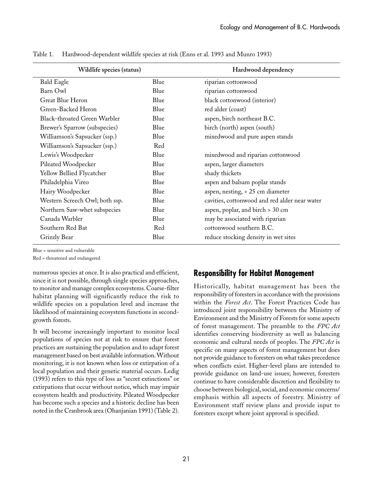| Wildlife species (status)           |      | Hardwood dependency                           |
|-------------------------------------|------|-----------------------------------------------|
| <b>Bald Eagle</b>                   | Blue | riparian cottonwood                           |
| Barn Owl                            | Blue | riparian cottonwood                           |
| Great Blue Heron                    | Blue | black cottonwood (interior)                   |
| Green-Backed Heron                  | Blue | red alder (coast)                             |
| <b>Black-throated Green Warbler</b> | Blue | aspen, birch northeast B.C.                   |
| Brewer's Sparrow (subspecies)       | Blue | birch (north) aspen (south)                   |
| Williamson's Sapsucker (ssp.)       | Blue | mixedwood and pure aspen stands               |
| Williamson's Sapsucker (ssp.)       | Red  |                                               |
| Lewis's Woodpecker                  | Blue | mixedwood and riparian cottonwood             |
| Pileated Woodpecker                 | Blue | aspen, larger diameters                       |
| Yellow Bellied Flycatcher           | Blue | shady thickets                                |
| Philadelphia Vireo                  | Blue | aspen and balsam poplar stands                |
| Hairy Woodpecker                    | Blue | aspen, nesting, > 25 cm diameter              |
| Western Screech Owl; both ssp.      | Blue | cavities, cottonwood and red alder near water |
| Northern Saw-whet subspecies        | Blue | aspen, poplar, and birch > 30 cm              |
| Canada Warbler                      | Blue | may be associated with riparian               |
| Southern Red Bat                    | Red  | cottonwood southern B.C.                      |
| Grizzly Bear                        | Blue | reduce stocking density in wet sites          |
|                                     |      |                                               |

Table 1. Hardwood-dependent wildlife species at risk (Enns et al. 1993 and Munro 1993)

Blue = sensitive and vulnerable

Red = threatened and endangered

numerous species at once. It is also practical and efficient, since it is not possible, through single species approaches, to monitor and manage complex ecosystems. Coarse-filter habitat planning will significantly reduce the risk to wildlife species on a population level and increase the likelihood of maintaining ecosystem functions in secondgrowth forests.

It will become increasingly important to monitor local populations of species not at risk to ensure that forest practices are sustaining the population and to adapt forest management based on best available information. Without monitoring, it is not known when loss or extirpation of a local population and their genetic material occurs. Ledig (1993) refers to this type of loss as "secret extinctions" or extirpations that occur without notice, which may impair ecosystem health and productivity. Pileated Woodpecker has become such a species and a historic decline has been noted in the Cranbrook area (Ohanjanian 1991) (Table 2).

### **Responsibility for Habitat Management**

Historically, habitat management has been the responsibility of foresters in accordance with the provisions within the *Forest Act*. The Forest Practices Code has introduced joint responsibility between the Ministry of Environment and the Ministry of Forests for some aspects of forest management. The preamble to the *FPC Act* identifies conserving biodiversity as well as balancing economic and cultural needs of peoples. The *FPC Act* is specific on many aspects of forest management but does not provide guidance to foresters on what takes precedence when conflicts exist. Higher-level plans are intended to provide guidance on land-use issues; however, foresters continue to have considerable discretion and flexibility to choose between biological, social, and economic concerns/ emphasis within all aspects of forestry. Ministry of Environment staff review plans and provide input to foresters except where joint approval is specified.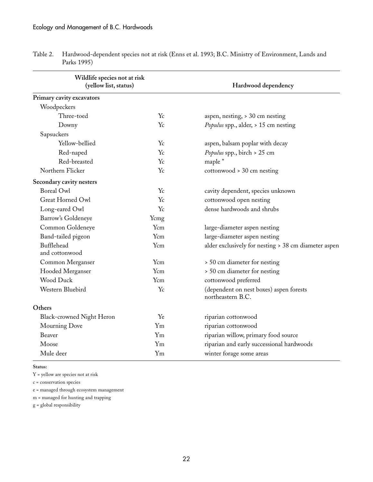| Wildlife species not at risk<br>(yellow list, status) |         | Hardwood dependency                                          |
|-------------------------------------------------------|---------|--------------------------------------------------------------|
| Primary cavity excavators                             |         |                                                              |
| Woodpeckers                                           |         |                                                              |
| Three-toed                                            | Yc      | aspen, nesting, > 30 cm nesting                              |
| Downy                                                 | Yc      | Populus spp., alder, > 15 cm nesting                         |
| Sapsuckers                                            |         |                                                              |
| Yellow-bellied                                        | Yc      | aspen, balsam poplar with decay                              |
| Red-naped                                             | Yc      | Populus spp., birch > 25 cm                                  |
| Red-breasted                                          | Yc      | maple "                                                      |
| Northern Flicker                                      | Yc      | $cottonwood > 30$ cm nesting                                 |
| Secondary cavity nesters                              |         |                                                              |
| <b>Boreal Owl</b>                                     | Yc      | cavity dependent, species unknown                            |
| Great Horned Owl                                      | Yc      | cottonwood open nesting                                      |
| Long-eared Owl                                        | Yc      | dense hardwoods and shrubs                                   |
| Barrow's Goldeneye                                    | Ycmg    |                                                              |
| Common Goldeneye                                      | Ycm     | large-diameter aspen nesting                                 |
| Band-tailed pigeon                                    | Ycm     | large-diameter aspen nesting                                 |
| Bufflehead<br>and cottonwood                          | Ycm     | alder exclusively for nesting > 38 cm diameter aspen         |
| Common Merganser                                      | Ycm     | > 50 cm diameter for nesting                                 |
| Hooded Merganser                                      | Ycm     | > 50 cm diameter for nesting                                 |
| Wood Duck                                             | Ycm     | cottonwood preferred                                         |
| Western Bluebird                                      | Yc      | (dependent on nest boxes) aspen forests<br>northeastern B.C. |
| Others                                                |         |                                                              |
| Black-crowned Night Heron                             | Ye      | riparian cottonwood                                          |
| Mourning Dove                                         | $Y_{m}$ | riparian cottonwood                                          |
| Beaver                                                | $Y_{m}$ | riparian willow, primary food source                         |
| Moose                                                 | $Y_{m}$ | riparian and early successional hardwoods                    |
| Mule deer                                             | $Y_{m}$ | winter forage some areas                                     |

Table 2. Hardwood-dependent species not at risk (Enns et al. 1993; B.C. Ministry of Environment, Lands and Parks 1995)

**Status:**

Y = yellow are species not at risk

c = conservation species

e = managed through ecosystem management

m = managed for hunting and trapping

g = global responsibility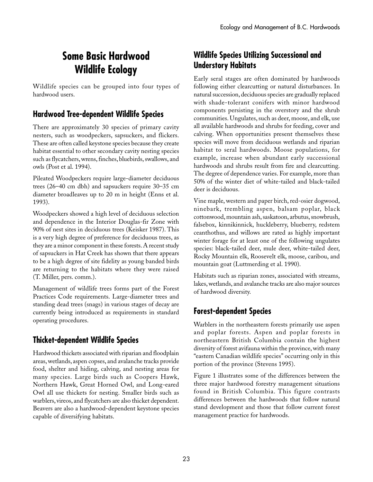# **Some Basic Hardwood Wildlife Ecology**

Wildlife species can be grouped into four types of hardwood users.

### **Hardwood Tree-dependent Wildlife Species**

There are approximately 30 species of primary cavity nesters, such as woodpeckers, sapsuckers, and flickers. These are often called keystone species because they create habitat essential to other secondary cavity nesting species such as flycatchers, wrens, finches, bluebirds, swallows, and owls (Post et al. 1994).

Pileated Woodpeckers require large-diameter deciduous trees (26–40 cm dbh) and sapsuckers require 30–35 cm diameter broadleaves up to 20 m in height (Enns et al. 1993).

Woodpeckers showed a high level of deciduous selection and dependence in the Interior Douglas-fir Zone with 90% of nest sites in deciduous trees (Keisker 1987). This is a very high degree of preference for deciduous trees, as they are a minor component in these forests. A recent study of sapsuckers in Hat Creek has shown that there appears to be a high degree of site fidelity as young banded birds are returning to the habitats where they were raised (T.␣ Miller, pers. comm.).

Management of wildlife trees forms part of the Forest Practices Code requirements. Large-diameter trees and standing dead trees (snags) in various stages of decay are currently being introduced as requirements in standard operating procedures.

## **Thicket-dependent Wildlife Species**

Hardwood thickets associated with riparian and floodplain areas, wetlands, aspen copses, and avalanche tracks provide food, shelter and hiding, calving, and nesting areas for many species. Large birds such as Coopers Hawk, Northern Hawk, Great Horned Owl, and Long-eared Owl all use thickets for nesting. Smaller birds such as warblers, vireos, and flycatchers are also thicket dependent. Beavers are also a hardwood-dependent keystone species capable of diversifying habitats.

## **Wildlife Species Utilizing Successional and Understory Habitats**

Early seral stages are often dominated by hardwoods following either clearcutting or natural disturbances. In natural succession, deciduous species are gradually replaced with shade-tolerant conifers with minor hardwood components persisting in the overstory and the shrub communities. Ungulates, such as deer, moose, and elk, use all available hardwoods and shrubs for feeding, cover and calving. When opportunities present themselves these species will move from deciduous wetlands and riparian habitat to seral hardwoods. Moose populations, for example, increase when abundant early successional hardwoods and shrubs result from fire and clearcutting. The degree of dependence varies. For example, more than 50% of the winter diet of white-tailed and black-tailed deer is deciduous.

Vine maple, western and paper birch, red-osier dogwood, ninebark, trembling aspen, balsam poplar, black cottonwood, mountain ash, saskatoon, arbutus, snowbrush, falsebox, kinnikinnick, huckleberry, blueberry, redstem ceanthothus, and willows are rated as highly important winter forage for at least one of the following ungulates species: black-tailed deer, mule deer, white-tailed deer, Rocky Mountain elk, Roosevelt elk, moose, caribou, and mountain goat (Luttmerding et al. 1990).

Habitats such as riparian zones, associated with streams, lakes, wetlands, and avalanche tracks are also major sources of hardwood diversity.

## **Forest-dependent Species**

Warblers in the northeastern forests primarily use aspen and poplar forests. Aspen and poplar forests in northeastern British Columbia contain the highest diversity of forest avifauna within the province, with many "eastern Canadian wildlife species" occurring only in this portion of the province (Stevens 1995).

Figure 1 illustrates some of the differences between the three major hardwood forestry management situations found in British Columbia. This figure contrasts differences between the hardwoods that follow natural stand development and those that follow current forest management practice for hardwoods.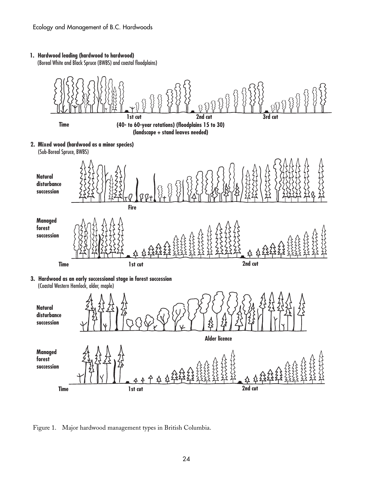#### **1. Hardwood leading (hardwood to hardwood)**

(Boreal White and Black Spruce (BWBS) and coastal floodplains)



Figure 1. Major hardwood management types in British Columbia.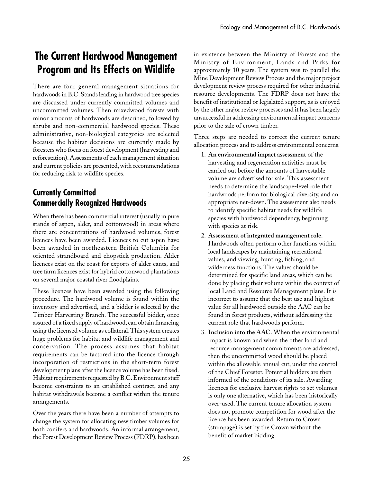# **The Current Hardwood Management Program and Its Effects on Wildlife**

There are four general management situations for hardwoods in B.C. Stands leading in hardwood tree species are discussed under currently committed volumes and uncommitted volumes. Then mixedwood forests with minor amounts of hardwoods are described, followed by shrubs and non-commercial hardwood species. These administrative, non-biological categories are selected because the habitat decisions are currently made by foresters who focus on forest development (harvesting and reforestation). Assessments of each management situation and current policies are presented, with recommendations for reducing risk to wildlife species.

## **Currently Committed Commercially Recognized Hardwoods**

When there has been commercial interest (usually in pure stands of aspen, alder, and cottonwood) in areas where there are concentrations of hardwood volumes, forest licences have been awarded. Licences to cut aspen have been awarded in northeastern British Columbia for oriented strandboard and chopstick production. Alder licences exist on the coast for exports of alder cants, and tree farm licences exist for hybrid cottonwood plantations on several major coastal river floodplains.

These licences have been awarded using the following procedure. The hardwood volume is found within the inventory and advertised, and a bidder is selected by the Timber Harvesting Branch. The successful bidder, once assured of a fixed supply of hardwood, can obtain financing using the licensed volume as collateral. This system creates huge problems for habitat and wildlife management and conservation. The process assumes that habitat requirements can be factored into the licence through incorporation of restrictions in the short-term forest development plans after the licence volume has been fixed. Habitat requirements requested by B.C. Environment staff become constraints to an established contract, and any habitat withdrawals become a conflict within the tenure arrangements.

Over the years there have been a number of attempts to change the system for allocating new timber volumes for both conifers and hardwoods. An informal arrangement, the Forest Development Review Process (FDRP), has been

in existence between the Ministry of Forests and the Ministry of Environment, Lands and Parks for approximately 10 years. The system was to parallel the Mine Development Review Process and the major project development review process required for other industrial resource developments. The FDRP does not have the benefit of institutional or legislated support, as is enjoyed by the other major review processes and it has been largely unsuccessful in addressing environmental impact concerns prior to the sale of crown timber.

Three steps are needed to correct the current tenure allocation process and to address environmental concerns.

- 1. **An environmental impact assessment** of the harvesting and regeneration activities must be carried out before the amounts of harvestable volume are advertised for sale. This assessment needs to determine the landscape-level role that hardwoods perform for biological diversity, and an appropriate net-down. The assessment also needs to identify specific habitat needs for wildlife species with hardwood dependency, beginning with species at risk.
- 2. **Assessment of integrated management role.** Hardwoods often perform other functions within local landscapes by maintaining recreational values, and viewing, hunting, fishing, and wilderness functions. The values should be determined for specific land areas, which can be done by placing their volume within the context of local Land and Resource Management plans. It is incorrect to assume that the best use and highest value for all hardwood outside the AAC can be found in forest products, without addressing the current role that hardwoods perform.
- 3. **Inclusion into the AAC.** When the environmental impact is known and when the other land and resource management commitments are addressed, then the uncommitted wood should be placed within the allowable annual cut, under the control of the Chief Forester. Potential bidders are then informed of the conditions of its sale. Awarding licences for exclusive harvest rights to set volumes is only one alternative, which has been historically over-used. The current tenure allocation system does not promote competition for wood after the licence has been awarded. Return to Crown (stumpage) is set by the Crown without the benefit of market bidding.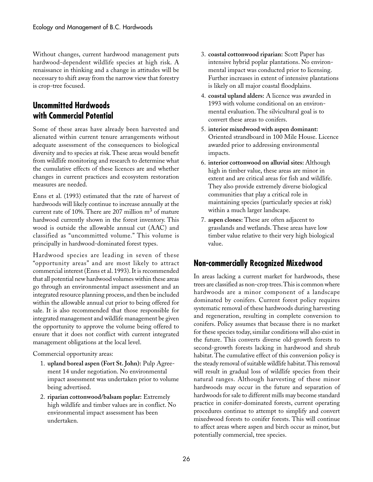Without changes, current hardwood management puts hardwood-dependent wildlife species at high risk. A renaissance in thinking and a change in attitudes will be necessary to shift away from the narrow view that forestry is crop-tree focused.

### **Uncommitted Hardwoods with Commercial Potential**

Some of these areas have already been harvested and alienated within current tenure arrangements without adequate assessment of the consequences to biological diversity and to species at risk. These areas would benefit from wildlife monitoring and research to determine what the cumulative effects of these licences are and whether changes in current practices and ecosystem restoration measures are needed.

Enns et al. (1993) estimated that the rate of harvest of hardwoods will likely continue to increase annually at the current rate of 10%. There are 207 million  $m<sup>3</sup>$  of mature hardwood currently shown in the forest inventory. This wood is outside the allowable annual cut (AAC) and classified as "uncommitted volume." This volume is principally in hardwood-dominated forest types.

Hardwood species are leading in seven of these "opportunity areas" and are most likely to attract commercial interest (Enns et al. 1993). It is recommended that all potential new hardwood volumes within these areas go through an environmental impact assessment and an integrated resource planning process, and then be included within the allowable annual cut prior to being offered for sale. It is also recommended that those responsible for integrated management and wildlife management be given the opportunity to approve the volume being offered to ensure that it does not conflict with current integrated management obligations at the local level.

Commercial opportunity areas:

- 1. **upland boreal aspen (Fort St. John):** Pulp Agreement 14 under negotiation. No environmental impact assessment was undertaken prior to volume being advertised.
- 2. **riparian cottonwood/balsam poplar:** Extremely high wildlife and timber values are in conflict. No environmental impact assessment has been undertaken.
- 3. **coastal cottonwood riparian:** Scott Paper has intensive hybrid poplar plantations. No environmental impact was conducted prior to licensing. Further increases in extent of intensive plantations is likely on all major coastal floodplains.
- 4. **coastal upland alders:** A licence was awarded in 1993 with volume conditional on an environmental evaluation. The silvicultural goal is to convert these areas to conifers.
- 5. **interior mixedwood with aspen dominant:** Oriented strandboard in 100 Mile House. Licence awarded prior to addressing environmental impacts.
- 6. **interior cottonwood on alluvial sites:** Although high in timber value, these areas are minor in extent and are critical areas for fish and wildlife. They also provide extremely diverse biological communities that play a critical role in maintaining species (particularly species at risk) within a much larger landscape.
- 7. **aspen clones:** These are often adjacent to grasslands and wetlands. These areas have low timber value relative to their very high biological value.

### **Non-commercially Recognized Mixedwood**

In areas lacking a current market for hardwoods, these trees are classified as non-crop trees. This is common where hardwoods are a minor component of a landscape dominated by conifers. Current forest policy requires systematic removal of these hardwoods during harvesting and regeneration, resulting in complete conversion to conifers. Policy assumes that because there is no market for these species today, similar conditions will also exist in the future. This converts diverse old-growth forests to second-growth forests lacking in hardwood and shrub habitat. The cumulative effect of this conversion policy is the steady removal of suitable wildlife habitat. This removal will result in gradual loss of wildlife species from their natural ranges. Although harvesting of these minor hardwoods may occur in the future and separation of hardwoods for sale to different mills may become standard practice in conifer-dominated forests, current operating procedures continue to attempt to simplify and convert mixedwood forests to conifer forests. This will continue to affect areas where aspen and birch occur as minor, but potentially commercial, tree species.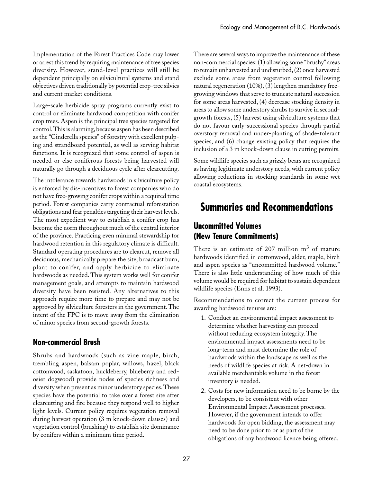Implementation of the Forest Practices Code may lower or arrest this trend by requiring maintenance of tree species diversity. However, stand-level practices will still be dependent principally on silvicultural systems and stand objectives driven traditionally by potential crop-tree silvics and current market conditions.

Large-scale herbicide spray programs currently exist to control or eliminate hardwood competition with conifer crop trees. Aspen is the principal tree species targeted for control. This is alarming, because aspen has been described as the "Cinderella species" of forestry with excellent pulping and strandboard potential, as well as serving habitat functions. It is recognized that some control of aspen is needed or else coniferous forests being harvested will naturally go through a deciduous cycle after clearcutting.

The intolerance towards hardwoods in silviculture policy is enforced by dis-incentives to forest companies who do not have free-growing conifer crops within a required time period. Forest companies carry contractual reforestation obligations and fear penalties targeting their harvest levels. The most expedient way to establish a conifer crop has become the norm throughout much of the central interior of the province. Practicing even minimal stewardship for hardwood retention in this regulatory climate is difficult. Standard operating procedures are to clearcut, remove all deciduous, mechanically prepare the site, broadcast burn, plant to conifer, and apply herbicide to eliminate hardwoods as needed. This system works well for conifer management goals, and attempts to maintain hardwood diversity have been resisted. Any alternatives to this approach require more time to prepare and may not be approved by silviculture foresters in the government. The intent of the FPC is to move away from the elimination of minor species from second-growth forests.

### **Non-commercial Brush**

Shrubs and hardwoods (such as vine maple, birch, trembling aspen, balsam poplar, willows, hazel, black cottonwood, saskatoon, huckleberry, blueberry and redosier dogwood) provide nodes of species richness and diversity when present as minor understory species. These species have the potential to take over a forest site after clearcutting and fire because they respond well to higher light levels. Current policy requires vegetation removal during harvest operation (3 m knock-down clauses) and vegetation control (brushing) to establish site dominance by conifers within a minimum time period.

There are several ways to improve the maintenance of these non-commercial species: (1) allowing some "brushy" areas to remain unharvested and undisturbed, (2) once harvested exclude some areas from vegetation control following natural regeneration (10%), (3) lengthen mandatory freegrowing windows that serve to truncate natural succession for some areas harvested, (4) decrease stocking density in areas to allow some understory shrubs to survive in secondgrowth forests, (5) harvest using silviculture systems that do not favour early-successional species through partial overstory removal and under-planting of shade-tolerant species, and (6) change existing policy that requires the inclusion of a 3 m knock-down clause in cutting permits.

Some wildlife species such as grizzly bears are recognized as having legitimate understory needs, with current policy allowing reductions in stocking standards in some wet coastal ecosystems.

# **Summaries and Recommendations**

### **Uncommitted Volumes (New Tenure Commitments)**

There is an estimate of 207 million  $m<sup>3</sup>$  of mature hardwoods identified in cottonwood, alder, maple, birch and aspen species as "uncommitted hardwood volume." There is also little understanding of how much of this volume would be required for habitat to sustain dependent wildlife species (Enns et al. 1993).

Recommendations to correct the current process for awarding hardwood tenures are:

- 1. Conduct an environmental impact assessment to determine whether harvesting can proceed without reducing ecosystem integrity. The environmental impact assessments need to be long-term and must determine the role of hardwoods within the landscape as well as the needs of wildlife species at risk. A net-down in available merchantable volume in the forest inventory is needed.
- 2. Costs for new information need to be borne by the developers, to be consistent with other Environmental Impact Assessment processes. However, if the government intends to offer hardwoods for open bidding, the assessment may need to be done prior to or as part of the obligations of any hardwood licence being offered.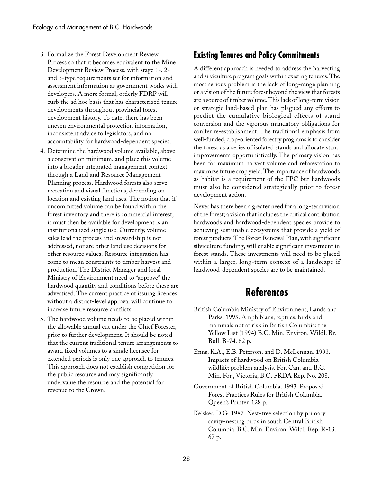- 3. Formalize the Forest Development Review Process so that it becomes equivalent to the Mine Development Review Process, with stage 1-, 2 and 3-type requirements set for information and assessment information as government works with developers. A more formal, orderly FDRP will curb the ad hoc basis that has characterized tenure developments throughout provincial forest development history. To date, there has been uneven environmental protection information, inconsistent advice to legislators, and no accountability for hardwood-dependent species.
- 4. Determine the hardwood volume available, above a conservation minimum, and place this volume into a broader integrated management context through a Land and Resource Management Planning process. Hardwood forests also serve recreation and visual functions, depending on location and existing land uses. The notion that if uncommitted volume can be found within the forest inventory and there is commercial interest, it must then be available for development is an institutionalized single use. Currently, volume sales lead the process and stewardship is not addressed, nor are other land use decisions for other resource values. Resource integration has come to mean constraints to timber harvest and production. The District Manager and local Ministry of Environment need to "approve" the hardwood quantity and conditions before these are advertised. The current practice of issuing licences without a district-level approval will continue to increase future resource conflicts.
- 5. The hardwood volume needs to be placed within the allowable annual cut under the Chief Forester, prior to further development. It should be noted that the current traditional tenure arrangements to award fixed volumes to a single licensee for extended periods is only one approach to tenures. This approach does not establish competition for the public resource and may significantly undervalue the resource and the potential for revenue to the Crown.

### **Existing Tenures and Policy Commitments**

A different approach is needed to address the harvesting and silviculture program goals within existing tenures. The most serious problem is the lack of long-range planning or a vision of the future forest beyond the view that forests are a source of timber volume. This lack of long-term vision or strategic land-based plan has plagued any efforts to predict the cumulative biological effects of stand conversion and the vigorous mandatory obligations for conifer re-establishment. The traditional emphasis from well-funded, crop-oriented forestry programs is to consider the forest as a series of isolated stands and allocate stand improvements opportunistically. The primary vision has been for maximum harvest volume and reforestation to maximize future crop yield. The importance of hardwoods as habitat is a requirement of the FPC but hardwoods must also be considered strategically prior to forest development action.

Never has there been a greater need for a long-term vision of the forest; a vision that includes the critical contribution hardwoods and hardwood-dependent species provide to achieving sustainable ecosystems that provide a yield of forest products. The Forest Renewal Plan, with significant silviculture funding, will enable significant investment in forest stands. These investments will need to be placed within a larger, long-term context of a landscape if hardwood-dependent species are to be maintained.

# **References**

- British Columbia Ministry of Environment, Lands and Parks. 1995. Amphibians, reptiles, birds and mammals not at risk in British Columbia: the Yellow List (1994) B.C. Min. Environ. Wildl. Br. Bull. B-74. 62 p.
- Enns, K.A., E.B. Peterson, and D. McLennan. 1993. Impacts of hardwood on British Columbia wildlife: problem analysis. For. Can. and B.C. Min. For., Victoria, B.C. FRDA Rep. No. 208.
- Government of British Columbia. 1993. Proposed Forest Practices Rules for British Columbia. Queen's Printer. 128 p.
- Keisker, D.G. 1987. Nest-tree selection by primary cavity-nesting birds in south Central British Columbia. B.C. Min. Environ. Wildl. Rep. R-13. 67 p.